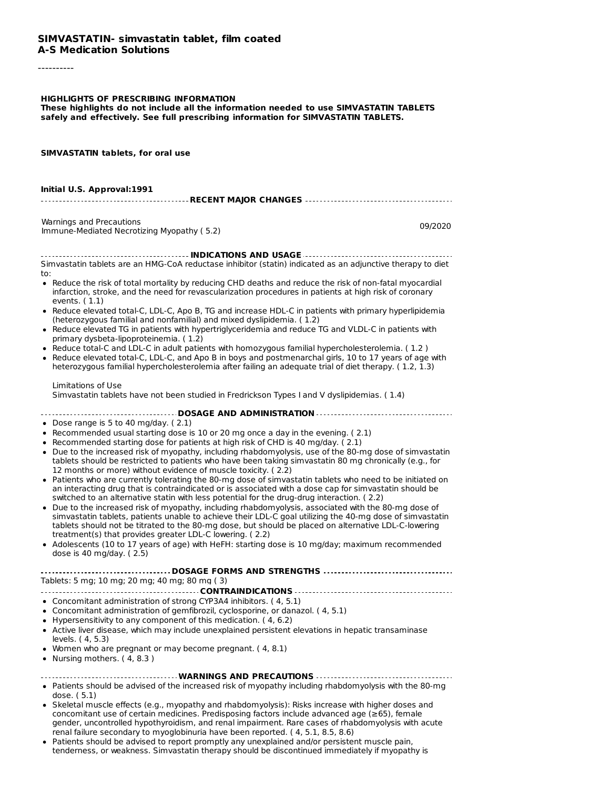#### **SIMVASTATIN- simvastatin tablet, film coated A-S Medication Solutions**

----------

#### **HIGHLIGHTS OF PRESCRIBING INFORMATION**

**These highlights do not include all the information needed to use SIMVASTATIN TABLETS safely and effectively. See full prescribing information for SIMVASTATIN TABLETS.**

**SIMVASTATIN tablets, for oral use**

| Initial U.S. Approval:1991                                                                                                                                                                                                                                                                                                                                                                                                                                                                                                                                                                                                                                                                                                                                                                                                                                                                                                                                                                                                                                                                                                                                                                                                                                                                                                                                                       |         |
|----------------------------------------------------------------------------------------------------------------------------------------------------------------------------------------------------------------------------------------------------------------------------------------------------------------------------------------------------------------------------------------------------------------------------------------------------------------------------------------------------------------------------------------------------------------------------------------------------------------------------------------------------------------------------------------------------------------------------------------------------------------------------------------------------------------------------------------------------------------------------------------------------------------------------------------------------------------------------------------------------------------------------------------------------------------------------------------------------------------------------------------------------------------------------------------------------------------------------------------------------------------------------------------------------------------------------------------------------------------------------------|---------|
| Warnings and Precautions<br>Immune-Mediated Necrotizing Myopathy (5.2)                                                                                                                                                                                                                                                                                                                                                                                                                                                                                                                                                                                                                                                                                                                                                                                                                                                                                                                                                                                                                                                                                                                                                                                                                                                                                                           | 09/2020 |
| Simvastatin tablets are an HMG-CoA reductase inhibitor (statin) indicated as an adjunctive therapy to diet                                                                                                                                                                                                                                                                                                                                                                                                                                                                                                                                                                                                                                                                                                                                                                                                                                                                                                                                                                                                                                                                                                                                                                                                                                                                       |         |
| to:<br>• Reduce the risk of total mortality by reducing CHD deaths and reduce the risk of non-fatal myocardial<br>infarction, stroke, and the need for revascularization procedures in patients at high risk of coronary                                                                                                                                                                                                                                                                                                                                                                                                                                                                                                                                                                                                                                                                                                                                                                                                                                                                                                                                                                                                                                                                                                                                                         |         |
| events. $(1.1)$<br>• Reduce elevated total-C, LDL-C, Apo B, TG and increase HDL-C in patients with primary hyperlipidemia<br>(heterozygous familial and nonfamilial) and mixed dyslipidemia. (1.2)<br>• Reduce elevated TG in patients with hypertriglyceridemia and reduce TG and VLDL-C in patients with                                                                                                                                                                                                                                                                                                                                                                                                                                                                                                                                                                                                                                                                                                                                                                                                                                                                                                                                                                                                                                                                       |         |
| primary dysbeta-lipoproteinemia. (1.2)<br>· Reduce total-C and LDL-C in adult patients with homozygous familial hypercholesterolemia. (1.2)<br>• Reduce elevated total-C, LDL-C, and Apo B in boys and postmenarchal girls, 10 to 17 years of age with<br>heterozygous familial hypercholesterolemia after failing an adequate trial of diet therapy. (1.2, 1.3)                                                                                                                                                                                                                                                                                                                                                                                                                                                                                                                                                                                                                                                                                                                                                                                                                                                                                                                                                                                                                 |         |
| Limitations of Use<br>Simvastatin tablets have not been studied in Fredrickson Types I and V dyslipidemias. (1.4)                                                                                                                                                                                                                                                                                                                                                                                                                                                                                                                                                                                                                                                                                                                                                                                                                                                                                                                                                                                                                                                                                                                                                                                                                                                                |         |
| DOSAGE AND ADMINISTRATION<br>• Dose range is 5 to 40 mg/day. $(2.1)$<br>• Recommended usual starting dose is 10 or 20 mg once a day in the evening. (2.1)<br>• Recommended starting dose for patients at high risk of CHD is 40 mg/day. (2.1)<br>• Due to the increased risk of myopathy, including rhabdomyolysis, use of the 80-mg dose of simvastatin<br>tablets should be restricted to patients who have been taking simvastatin 80 mg chronically (e.g., for<br>12 months or more) without evidence of muscle toxicity. (2.2)<br>• Patients who are currently tolerating the 80-mg dose of simvastatin tablets who need to be initiated on<br>an interacting drug that is contraindicated or is associated with a dose cap for simvastatin should be<br>switched to an alternative statin with less potential for the drug-drug interaction. (2.2)<br>• Due to the increased risk of myopathy, including rhabdomyolysis, associated with the 80-mg dose of<br>simvastatin tablets, patients unable to achieve their LDL-C goal utilizing the 40-mg dose of simvastatin<br>tablets should not be titrated to the 80-mg dose, but should be placed on alternative LDL-C-lowering<br>treatment(s) that provides greater LDL-C lowering. (2.2)<br>• Adolescents (10 to 17 years of age) with HeFH: starting dose is 10 mg/day; maximum recommended<br>dose is 40 mg/day. (2.5) |         |
| DOSAGE FORMS AND STRENGTHS<br>Tablets: 5 mg; 10 mg; 20 mg; 40 mg; 80 mg (3)                                                                                                                                                                                                                                                                                                                                                                                                                                                                                                                                                                                                                                                                                                                                                                                                                                                                                                                                                                                                                                                                                                                                                                                                                                                                                                      |         |
| • Concomitant administration of strong CYP3A4 inhibitors. (4, 5.1)<br>• Concomitant administration of gemfibrozil, cyclosporine, or danazol. (4, 5.1)<br>• Hypersensitivity to any component of this medication. (4, 6.2)<br>• Active liver disease, which may include unexplained persistent elevations in hepatic transaminase<br>levels. (4, 5.3)<br>• Women who are pregnant or may become pregnant. (4, 8.1)<br>• Nursing mothers. $(4, 8.3)$                                                                                                                                                                                                                                                                                                                                                                                                                                                                                                                                                                                                                                                                                                                                                                                                                                                                                                                               |         |
|                                                                                                                                                                                                                                                                                                                                                                                                                                                                                                                                                                                                                                                                                                                                                                                                                                                                                                                                                                                                                                                                                                                                                                                                                                                                                                                                                                                  |         |
| • Patients should be advised of the increased risk of myopathy including rhabdomyolysis with the 80-mg<br>dose. $(5.1)$<br>Skalatel muscle offects (e.g. myopathy and rhabdomyolysis); Disks increase with bigbor doses and                                                                                                                                                                                                                                                                                                                                                                                                                                                                                                                                                                                                                                                                                                                                                                                                                                                                                                                                                                                                                                                                                                                                                      |         |

- Skeletal muscle effects (e.g., myopathy and rhabdomyolysis): Risks increase with higher doses and concomitant use of certain medicines. Predisposing factors include advanced age (≥65), female gender, uncontrolled hypothyroidism, and renal impairment. Rare cases of rhabdomyolysis with acute renal failure secondary to myoglobinuria have been reported. ( 4, 5.1, 8.5, 8.6)
- Patients should be advised to report promptly any unexplained and/or persistent muscle pain, tenderness, or weakness. Simvastatin therapy should be discontinued immediately if myopathy is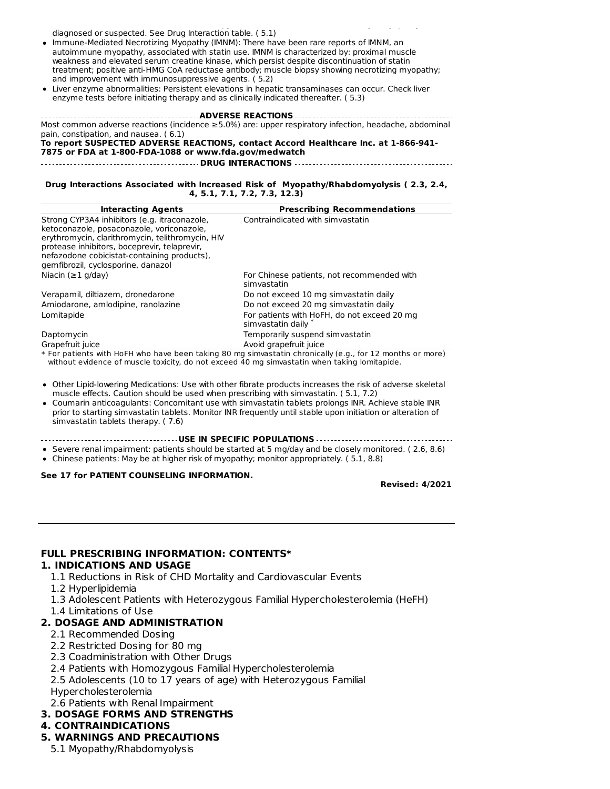diagnosed or suspected. See Drug Interaction table. ( 5.1)

Immune-Mediated Necrotizing Myopathy (IMNM): There have been rare reports of IMNM, an autoimmune myopathy, associated with statin use. IMNM is characterized by: proximal muscle weakness and elevated serum creatine kinase, which persist despite discontinuation of statin treatment; positive anti-HMG CoA reductase antibody; muscle biopsy showing necrotizing myopathy; and improvement with immunosuppressive agents. ( 5.2)

tenderness, or weakness. Simvastatin therapy should be discontinued immediately if myopathy is

Liver enzyme abnormalities: Persistent elevations in hepatic transaminases can occur. Check liver enzyme tests before initiating therapy and as clinically indicated thereafter. ( 5.3)

**ADVERSE REACTIONS** Most common adverse reactions (incidence ≥5.0%) are: upper respiratory infection, headache, abdominal pain, constipation, and nausea. ( 6.1) **To report SUSPECTED ADVERSE REACTIONS, contact Accord Healthcare Inc. at 1-866-941- 7875 or FDA at 1-800-FDA-1088 or www.fda.gov/medwatch DRUG INTERACTIONS**

#### **Drug Interactions Associated with Increased Risk of Myopathy/Rhabdomyolysis ( 2.3, 2.4, 4, 5.1, 7.1, 7.2, 7.3, 12.3)**

| <b>Interacting Agents</b>                                                                                                                                                                                                                                                          | <b>Prescribing Recommendations</b>                                                                        |
|------------------------------------------------------------------------------------------------------------------------------------------------------------------------------------------------------------------------------------------------------------------------------------|-----------------------------------------------------------------------------------------------------------|
| Strong CYP3A4 inhibitors (e.g. itraconazole,<br>ketoconazole, posaconazole, voriconazole,<br>erythromycin, clarithromycin, telithromycin, HIV<br>protease inhibitors, boceprevir, telaprevir,<br>nefazodone cobicistat-containing products),<br>gemfibrozil, cyclosporine, danazol | Contraindicated with simvastatin                                                                          |
| Niacin ( $\geq$ 1 g/day)                                                                                                                                                                                                                                                           | For Chinese patients, not recommended with<br>simvastatin                                                 |
| Verapamil, diltiazem, dronedarone                                                                                                                                                                                                                                                  | Do not exceed 10 mg simvastatin daily                                                                     |
| Amiodarone, amlodipine, ranolazine                                                                                                                                                                                                                                                 | Do not exceed 20 mg simvastatin daily                                                                     |
| Lomitapide                                                                                                                                                                                                                                                                         | For patients with HoFH, do not exceed 20 mg<br>simvastatin daily*                                         |
| Daptomycin                                                                                                                                                                                                                                                                         | Temporarily suspend simvastatin                                                                           |
| Grapefruit juice                                                                                                                                                                                                                                                                   | Avoid grapefruit juice                                                                                    |
|                                                                                                                                                                                                                                                                                    | * For patients with HoFH who have been taking 80 mg simvastatin chronically (e.g., for 12 months or more) |

without evidence of muscle toxicity, do not exceed 40 mg simvastatin when taking lomitapide.

- Other Lipid-lowering Medications: Use with other fibrate products increases the risk of adverse skeletal muscle effects. Caution should be used when prescribing with simvastatin. ( 5.1, 7.2)
- Coumarin anticoagulants: Concomitant use with simvastatin tablets prolongs INR. Achieve stable INR prior to starting simvastatin tablets. Monitor INR frequently until stable upon initiation or alteration of simvastatin tablets therapy. ( 7.6)
- **USE IN SPECIFIC POPULATIONS**

Severe renal impairment: patients should be started at 5 mg/day and be closely monitored. ( 2.6, 8.6)

Chinese patients: May be at higher risk of myopathy; monitor appropriately. ( 5.1, 8.8)

#### **See 17 for PATIENT COUNSELING INFORMATION.**

**Revised: 4/2021**

#### **FULL PRESCRIBING INFORMATION: CONTENTS\***

#### **1. INDICATIONS AND USAGE**

- 1.1 Reductions in Risk of CHD Mortality and Cardiovascular Events
- 1.2 Hyperlipidemia
- 1.3 Adolescent Patients with Heterozygous Familial Hypercholesterolemia (HeFH)
- 1.4 Limitations of Use

# **2. DOSAGE AND ADMINISTRATION**

- 2.1 Recommended Dosing
- 2.2 Restricted Dosing for 80 mg
- 2.3 Coadministration with Other Drugs
- 2.4 Patients with Homozygous Familial Hypercholesterolemia
- 2.5 Adolescents (10 to 17 years of age) with Heterozygous Familial
- Hypercholesterolemia
- 2.6 Patients with Renal Impairment
- **3. DOSAGE FORMS AND STRENGTHS**

### **4. CONTRAINDICATIONS**

# **5. WARNINGS AND PRECAUTIONS**

5.1 Myopathy/Rhabdomyolysis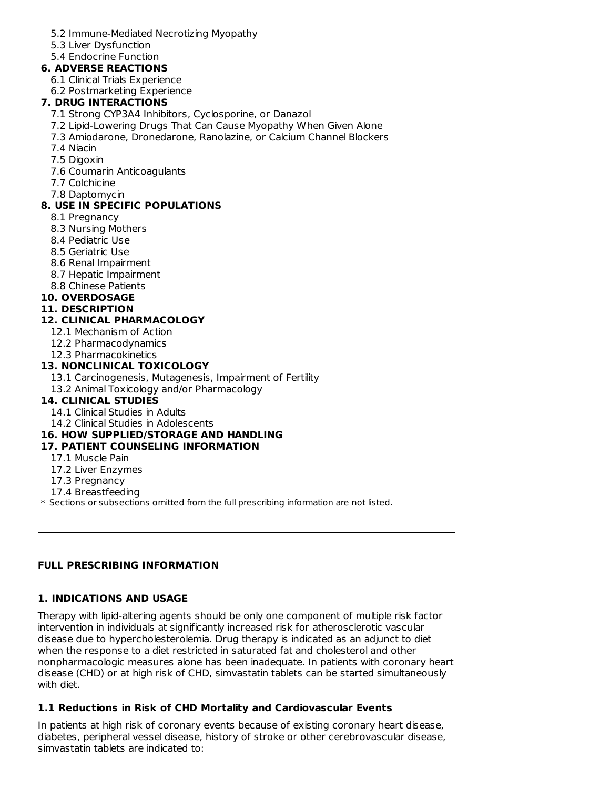- 5.2 Immune-Mediated Necrotizing Myopathy
- 5.3 Liver Dysfunction
- 5.4 Endocrine Function

# **6. ADVERSE REACTIONS**

- 6.1 Clinical Trials Experience
- 6.2 Postmarketing Experience

# **7. DRUG INTERACTIONS**

- 7.1 Strong CYP3A4 Inhibitors, Cyclosporine, or Danazol
- 7.2 Lipid-Lowering Drugs That Can Cause Myopathy When Given Alone
- 7.3 Amiodarone, Dronedarone, Ranolazine, or Calcium Channel Blockers
- 7.4 Niacin
- 7.5 Digoxin
- 7.6 Coumarin Anticoagulants
- 7.7 Colchicine
- 7.8 Daptomycin

# **8. USE IN SPECIFIC POPULATIONS**

- 8.1 Pregnancy
- 8.3 Nursing Mothers
- 8.4 Pediatric Use
- 8.5 Geriatric Use
- 8.6 Renal Impairment
- 8.7 Hepatic Impairment
- 8.8 Chinese Patients
- **10. OVERDOSAGE**

### **11. DESCRIPTION**

# **12. CLINICAL PHARMACOLOGY**

- 12.1 Mechanism of Action
- 12.2 Pharmacodynamics
- 12.3 Pharmacokinetics

# **13. NONCLINICAL TOXICOLOGY**

- 13.1 Carcinogenesis, Mutagenesis, Impairment of Fertility
- 13.2 Animal Toxicology and/or Pharmacology

# **14. CLINICAL STUDIES**

- 14.1 Clinical Studies in Adults
- 14.2 Clinical Studies in Adolescents

# **16. HOW SUPPLIED/STORAGE AND HANDLING**

# **17. PATIENT COUNSELING INFORMATION**

- 17.1 Muscle Pain
- 17.2 Liver Enzymes
- 17.3 Pregnancy
- 17.4 Breastfeeding
- \* Sections or subsections omitted from the full prescribing information are not listed.

# **FULL PRESCRIBING INFORMATION**

# **1. INDICATIONS AND USAGE**

Therapy with lipid-altering agents should be only one component of multiple risk factor intervention in individuals at significantly increased risk for atherosclerotic vascular disease due to hypercholesterolemia. Drug therapy is indicated as an adjunct to diet when the response to a diet restricted in saturated fat and cholesterol and other nonpharmacologic measures alone has been inadequate. In patients with coronary heart disease (CHD) or at high risk of CHD, simvastatin tablets can be started simultaneously with diet.

# **1.1 Reductions in Risk of CHD Mortality and Cardiovascular Events**

In patients at high risk of coronary events because of existing coronary heart disease, diabetes, peripheral vessel disease, history of stroke or other cerebrovascular disease, simvastatin tablets are indicated to: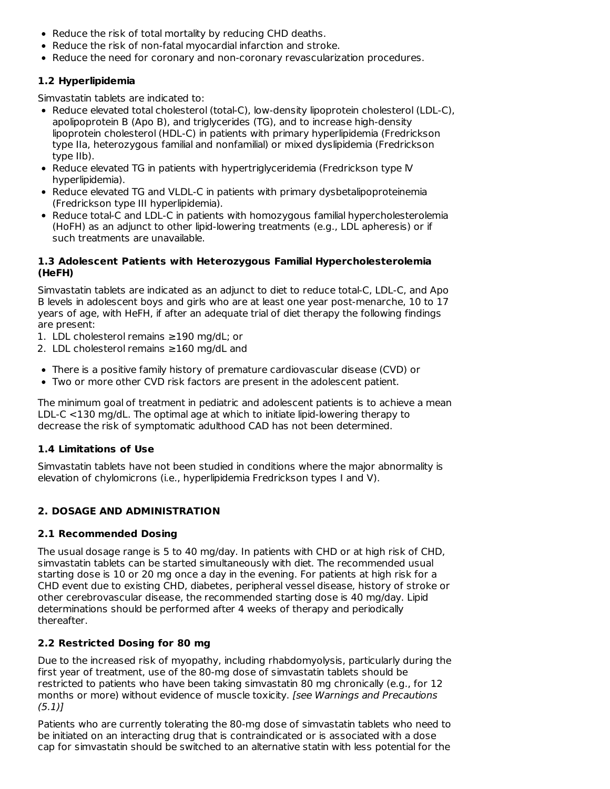- Reduce the risk of total mortality by reducing CHD deaths.
- Reduce the risk of non-fatal myocardial infarction and stroke.
- Reduce the need for coronary and non-coronary revascularization procedures.

# **1.2 Hyperlipidemia**

Simvastatin tablets are indicated to:

- Reduce elevated total cholesterol (total-C), low-density lipoprotein cholesterol (LDL-C), apolipoprotein B (Apo B), and triglycerides (TG), and to increase high-density lipoprotein cholesterol (HDL-C) in patients with primary hyperlipidemia (Fredrickson type IIa, heterozygous familial and nonfamilial) or mixed dyslipidemia (Fredrickson type IIb).
- Reduce elevated TG in patients with hypertriglyceridemia (Fredrickson type IV hyperlipidemia).
- Reduce elevated TG and VLDL-C in patients with primary dysbetalipoproteinemia (Fredrickson type III hyperlipidemia).
- Reduce total-C and LDL-C in patients with homozygous familial hypercholesterolemia (HoFH) as an adjunct to other lipid-lowering treatments (e.g., LDL apheresis) or if such treatments are unavailable.

# **1.3 Adolescent Patients with Heterozygous Familial Hypercholesterolemia (HeFH)**

Simvastatin tablets are indicated as an adjunct to diet to reduce total-C, LDL-C, and Apo B levels in adolescent boys and girls who are at least one year post-menarche, 10 to 17 years of age, with HeFH, if after an adequate trial of diet therapy the following findings are present:

- 1. LDL cholesterol remains ≥190 mg/dL; or
- 2. LDL cholesterol remains ≥160 mg/dL and
- There is a positive family history of premature cardiovascular disease (CVD) or
- Two or more other CVD risk factors are present in the adolescent patient.

The minimum goal of treatment in pediatric and adolescent patients is to achieve a mean LDL-C <130 mg/dL. The optimal age at which to initiate lipid-lowering therapy to decrease the risk of symptomatic adulthood CAD has not been determined.

# **1.4 Limitations of Use**

Simvastatin tablets have not been studied in conditions where the major abnormality is elevation of chylomicrons (i.e., hyperlipidemia Fredrickson types I and V).

# **2. DOSAGE AND ADMINISTRATION**

# **2.1 Recommended Dosing**

The usual dosage range is 5 to 40 mg/day. In patients with CHD or at high risk of CHD, simvastatin tablets can be started simultaneously with diet. The recommended usual starting dose is 10 or 20 mg once a day in the evening. For patients at high risk for a CHD event due to existing CHD, diabetes, peripheral vessel disease, history of stroke or other cerebrovascular disease, the recommended starting dose is 40 mg/day. Lipid determinations should be performed after 4 weeks of therapy and periodically thereafter.

# **2.2 Restricted Dosing for 80 mg**

Due to the increased risk of myopathy, including rhabdomyolysis, particularly during the first year of treatment, use of the 80-mg dose of simvastatin tablets should be restricted to patients who have been taking simvastatin 80 mg chronically (e.g., for 12 months or more) without evidence of muscle toxicity. [see Warnings and Precautions  $(5.1)$ ]

Patients who are currently tolerating the 80-mg dose of simvastatin tablets who need to be initiated on an interacting drug that is contraindicated or is associated with a dose cap for simvastatin should be switched to an alternative statin with less potential for the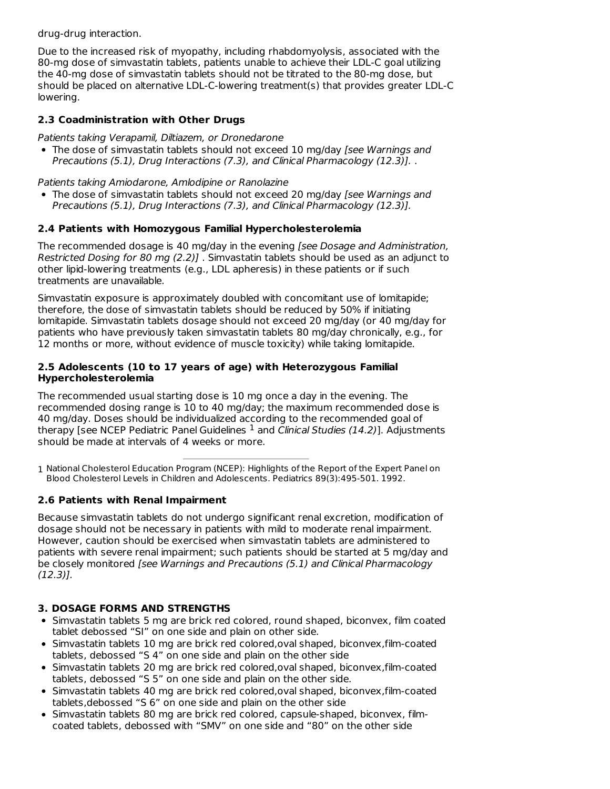drug-drug interaction.

Due to the increased risk of myopathy, including rhabdomyolysis, associated with the 80-mg dose of simvastatin tablets, patients unable to achieve their LDL-C goal utilizing the 40-mg dose of simvastatin tablets should not be titrated to the 80-mg dose, but should be placed on alternative LDL-C-lowering treatment(s) that provides greater LDL-C lowering.

# **2.3 Coadministration with Other Drugs**

Patients taking Verapamil, Diltiazem, or Dronedarone

• The dose of simvastatin tablets should not exceed 10 mg/day *[see Warnings and* Precautions (5.1), Drug Interactions (7.3), and Clinical Pharmacology (12.3)]. .

Patients taking Amiodarone, Amlodipine or Ranolazine

• The dose of simvastatin tablets should not exceed 20 mg/day *[see Warnings and* Precautions (5.1), Drug Interactions (7.3), and Clinical Pharmacology (12.3)].

# **2.4 Patients with Homozygous Familial Hypercholesterolemia**

The recommended dosage is 40 mg/day in the evening [see Dosage and Administration, Restricted Dosing for 80 mg (2.2)] . Simvastatin tablets should be used as an adjunct to other lipid-lowering treatments (e.g., LDL apheresis) in these patients or if such treatments are unavailable.

Simvastatin exposure is approximately doubled with concomitant use of lomitapide; therefore, the dose of simvastatin tablets should be reduced by 50% if initiating lomitapide. Simvastatin tablets dosage should not exceed 20 mg/day (or 40 mg/day for patients who have previously taken simvastatin tablets 80 mg/day chronically, e.g., for 12 months or more, without evidence of muscle toxicity) while taking lomitapide.

#### **2.5 Adolescents (10 to 17 years of age) with Heterozygous Familial Hypercholesterolemia**

The recommended usual starting dose is 10 mg once a day in the evening. The recommended dosing range is 10 to 40 mg/day; the maximum recommended dose is 40 mg/day. Doses should be individualized according to the recommended goal of therapy [see NCEP Pediatric Panel Guidelines  $^1$  and *Clinical Studies (14.2)*]. Adjustments should be made at intervals of 4 weeks or more.

1 National Cholesterol Education Program (NCEP): Highlights of the Report of the Expert Panel on Blood Cholesterol Levels in Children and Adolescents. Pediatrics 89(3):495-501. 1992.

# **2.6 Patients with Renal Impairment**

Because simvastatin tablets do not undergo significant renal excretion, modification of dosage should not be necessary in patients with mild to moderate renal impairment. However, caution should be exercised when simvastatin tablets are administered to patients with severe renal impairment; such patients should be started at 5 mg/day and be closely monitored [see Warnings and Precautions (5.1) and Clinical Pharmacology (12.3)].

# **3. DOSAGE FORMS AND STRENGTHS**

- Simvastatin tablets 5 mg are brick red colored, round shaped, biconvex, film coated tablet debossed "SI" on one side and plain on other side.
- Simvastatin tablets 10 mg are brick red colored,oval shaped, biconvex,film-coated tablets, debossed "S 4" on one side and plain on the other side
- Simvastatin tablets 20 mg are brick red colored,oval shaped, biconvex,film-coated tablets, debossed "S 5" on one side and plain on the other side.
- Simvastatin tablets 40 mg are brick red colored,oval shaped, biconvex,film-coated tablets,debossed "S 6" on one side and plain on the other side
- Simvastatin tablets 80 mg are brick red colored, capsule-shaped, biconvex, filmcoated tablets, debossed with "SMV" on one side and "80" on the other side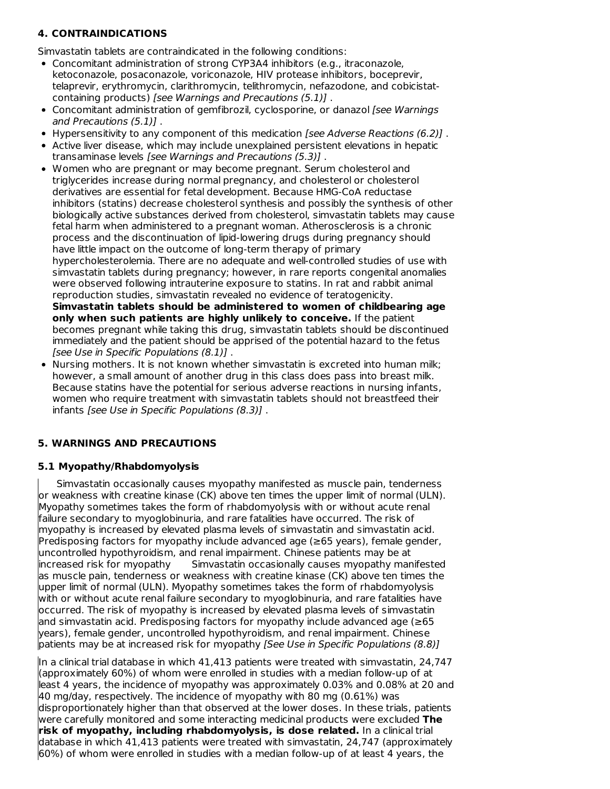# **4. CONTRAINDICATIONS**

Simvastatin tablets are contraindicated in the following conditions:

- Concomitant administration of strong CYP3A4 inhibitors (e.g., itraconazole, ketoconazole, posaconazole, voriconazole, HIV protease inhibitors, boceprevir, telaprevir, erythromycin, clarithromycin, telithromycin, nefazodone, and cobicistatcontaining products) [see Warnings and Precautions (5.1)] .
- Concomitant administration of gemfibrozil, cyclosporine, or danazol [see Warnings and Precautions (5.1)] .
- Hypersensitivity to any component of this medication [see Adverse Reactions  $(6.2)$ ].
- Active liver disease, which may include unexplained persistent elevations in hepatic transaminase levels [see Warnings and Precautions (5.3)] .
- Women who are pregnant or may become pregnant. Serum cholesterol and triglycerides increase during normal pregnancy, and cholesterol or cholesterol derivatives are essential for fetal development. Because HMG-CoA reductase inhibitors (statins) decrease cholesterol synthesis and possibly the synthesis of other biologically active substances derived from cholesterol, simvastatin tablets may cause fetal harm when administered to a pregnant woman. Atherosclerosis is a chronic process and the discontinuation of lipid-lowering drugs during pregnancy should have little impact on the outcome of long-term therapy of primary hypercholesterolemia. There are no adequate and well-controlled studies of use with simvastatin tablets during pregnancy; however, in rare reports congenital anomalies were observed following intrauterine exposure to statins. In rat and rabbit animal reproduction studies, simvastatin revealed no evidence of teratogenicity. **Simvastatin tablets should be administered to women of childbearing age only when such patients are highly unlikely to conceive.** If the patient becomes pregnant while taking this drug, simvastatin tablets should be discontinued immediately and the patient should be apprised of the potential hazard to the fetus
- [see Use in Specific Populations (8.1)] . • Nursing mothers. It is not known whether simvastatin is excreted into human milk; however, a small amount of another drug in this class does pass into breast milk. Because statins have the potential for serious adverse reactions in nursing infants, women who require treatment with simvastatin tablets should not breastfeed their infants [see Use in Specific Populations (8.3)] .

# **5. WARNINGS AND PRECAUTIONS**

# **5.1 Myopathy/Rhabdomyolysis**

Simvastatin occasionally causes myopathy manifested as muscle pain, tenderness or weakness with creatine kinase (CK) above ten times the upper limit of normal (ULN). Myopathy sometimes takes the form of rhabdomyolysis with or without acute renal failure secondary to myoglobinuria, and rare fatalities have occurred. The risk of myopathy is increased by elevated plasma levels of simvastatin and simvastatin acid. Predisposing factors for myopathy include advanced age (≥65 years), female gender, uncontrolled hypothyroidism, and renal impairment. Chinese patients may be at increased risk for myopathy Simvastatin occasionally causes myopathy manifested as muscle pain, tenderness or weakness with creatine kinase (CK) above ten times the upper limit of normal (ULN). Myopathy sometimes takes the form of rhabdomyolysis with or without acute renal failure secondary to myoglobinuria, and rare fatalities have occurred. The risk of myopathy is increased by elevated plasma levels of simvastatin and simvastatin acid. Predisposing factors for myopathy include advanced age (≥65 years), female gender, uncontrolled hypothyroidism, and renal impairment. Chinese patients may be at increased risk for myopathy *[See Use in Specific Populations (8.8)]* 

In a clinical trial database in which 41,413 patients were treated with simvastatin, 24,747 (approximately 60%) of whom were enrolled in studies with a median follow-up of at least 4 years, the incidence of myopathy was approximately 0.03% and 0.08% at 20 and 40 mg/day, respectively. The incidence of myopathy with 80 mg (0.61%) was disproportionately higher than that observed at the lower doses. In these trials, patients were carefully monitored and some interacting medicinal products were excluded **The risk of myopathy, including rhabdomyolysis, is dose related.** In a clinical trial database in which 41,413 patients were treated with simvastatin, 24,747 (approximately 60%) of whom were enrolled in studies with a median follow-up of at least 4 years, the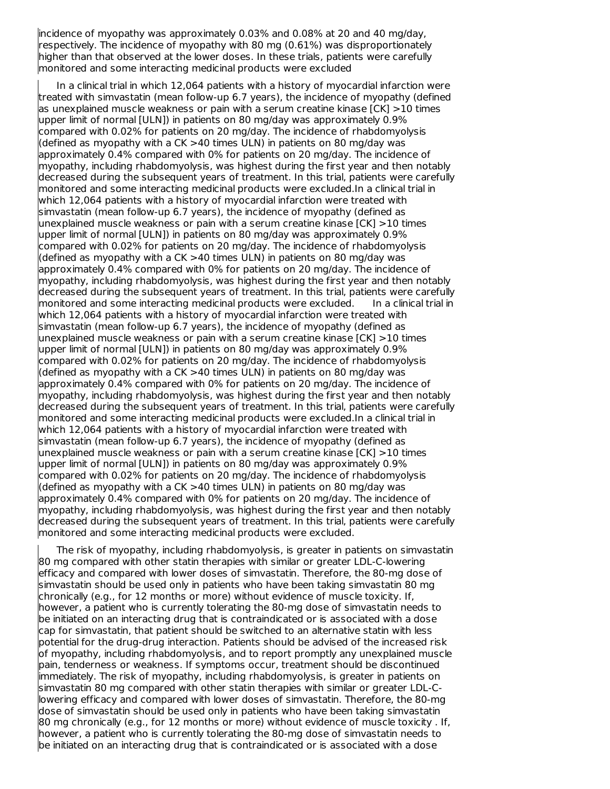incidence of myopathy was approximately 0.03% and 0.08% at 20 and 40 mg/day, respectively. The incidence of myopathy with 80 mg (0.61%) was disproportionately higher than that observed at the lower doses. In these trials, patients were carefully monitored and some interacting medicinal products were excluded

In a clinical trial in which 12,064 patients with a history of myocardial infarction were treated with simvastatin (mean follow-up 6.7 years), the incidence of myopathy (defined as unexplained muscle weakness or pain with a serum creatine kinase [CK] >10 times upper limit of normal [ULN]) in patients on 80 mg/day was approximately 0.9% compared with 0.02% for patients on 20 mg/day. The incidence of rhabdomyolysis (defined as myopathy with a CK >40 times ULN) in patients on 80 mg/day was approximately 0.4% compared with 0% for patients on 20 mg/day. The incidence of myopathy, including rhabdomyolysis, was highest during the first year and then notably decreased during the subsequent years of treatment. In this trial, patients were carefully monitored and some interacting medicinal products were excluded.In a clinical trial in which 12,064 patients with a history of myocardial infarction were treated with simvastatin (mean follow-up 6.7 years), the incidence of myopathy (defined as unexplained muscle weakness or pain with a serum creatine kinase [CK] >10 times upper limit of normal [ULN]) in patients on 80 mg/day was approximately 0.9% compared with 0.02% for patients on 20 mg/day. The incidence of rhabdomyolysis (defined as myopathy with a CK >40 times ULN) in patients on 80 mg/day was approximately 0.4% compared with 0% for patients on 20 mg/day. The incidence of myopathy, including rhabdomyolysis, was highest during the first year and then notably decreased during the subsequent years of treatment. In this trial, patients were carefully monitored and some interacting medicinal products were excluded. In a clinical trial in which 12,064 patients with a history of myocardial infarction were treated with simvastatin (mean follow-up 6.7 years), the incidence of myopathy (defined as unexplained muscle weakness or pain with a serum creatine kinase [CK] >10 times upper limit of normal [ULN]) in patients on 80 mg/day was approximately 0.9% compared with 0.02% for patients on 20 mg/day. The incidence of rhabdomyolysis (defined as myopathy with a CK >40 times ULN) in patients on 80 mg/day was approximately 0.4% compared with 0% for patients on 20 mg/day. The incidence of myopathy, including rhabdomyolysis, was highest during the first year and then notably decreased during the subsequent years of treatment. In this trial, patients were carefully monitored and some interacting medicinal products were excluded.In a clinical trial in which 12,064 patients with a history of myocardial infarction were treated with simvastatin (mean follow-up 6.7 years), the incidence of myopathy (defined as unexplained muscle weakness or pain with a serum creatine kinase [CK] >10 times upper limit of normal [ULN]) in patients on 80 mg/day was approximately 0.9% compared with 0.02% for patients on 20 mg/day. The incidence of rhabdomyolysis (defined as myopathy with a CK >40 times ULN) in patients on 80 mg/day was approximately 0.4% compared with 0% for patients on 20 mg/day. The incidence of myopathy, including rhabdomyolysis, was highest during the first year and then notably decreased during the subsequent years of treatment. In this trial, patients were carefully monitored and some interacting medicinal products were excluded.

The risk of myopathy, including rhabdomyolysis, is greater in patients on simvastatin 80 mg compared with other statin therapies with similar or greater LDL-C-lowering efficacy and compared with lower doses of simvastatin. Therefore, the 80-mg dose of simvastatin should be used only in patients who have been taking simvastatin 80 mg chronically (e.g., for 12 months or more) without evidence of muscle toxicity. If, however, a patient who is currently tolerating the 80-mg dose of simvastatin needs to be initiated on an interacting drug that is contraindicated or is associated with a dose cap for simvastatin, that patient should be switched to an alternative statin with less potential for the drug-drug interaction. Patients should be advised of the increased risk of myopathy, including rhabdomyolysis, and to report promptly any unexplained muscle pain, tenderness or weakness. If symptoms occur, treatment should be discontinued immediately. The risk of myopathy, including rhabdomyolysis, is greater in patients on simvastatin 80 mg compared with other statin therapies with similar or greater LDL-Clowering efficacy and compared with lower doses of simvastatin. Therefore, the 80-mg dose of simvastatin should be used only in patients who have been taking simvastatin 80 mg chronically (e.g., for 12 months or more) without evidence of muscle toxicity . If, however, a patient who is currently tolerating the 80-mg dose of simvastatin needs to be initiated on an interacting drug that is contraindicated or is associated with a dose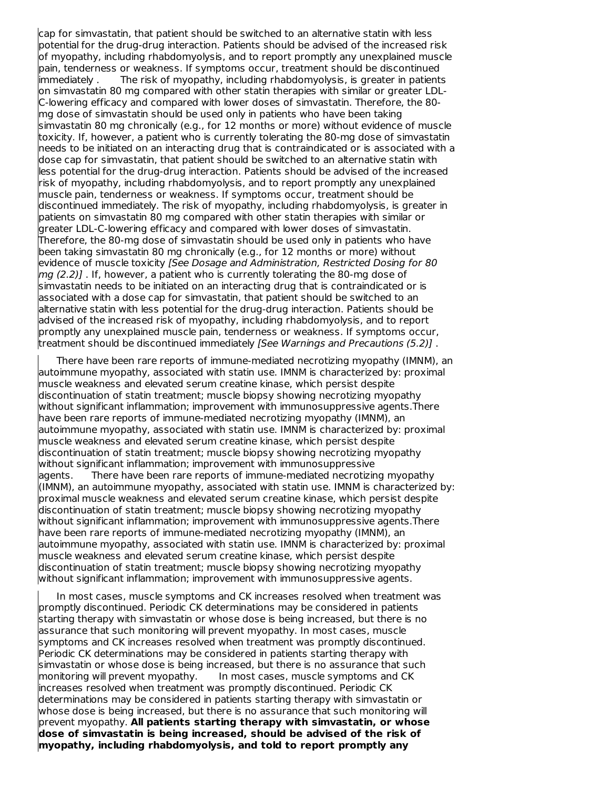cap for simvastatin, that patient should be switched to an alternative statin with less potential for the drug-drug interaction. Patients should be advised of the increased risk of myopathy, including rhabdomyolysis, and to report promptly any unexplained muscle pain, tenderness or weakness. If symptoms occur, treatment should be discontinued immediately . The risk of myopathy, including rhabdomyolysis, is greater in patients on simvastatin 80 mg compared with other statin therapies with similar or greater LDL-C-lowering efficacy and compared with lower doses of simvastatin. Therefore, the 80 mg dose of simvastatin should be used only in patients who have been taking simvastatin 80 mg chronically (e.g., for 12 months or more) without evidence of muscle toxicity. If, however, a patient who is currently tolerating the 80-mg dose of simvastatin needs to be initiated on an interacting drug that is contraindicated or is associated with a dose cap for simvastatin, that patient should be switched to an alternative statin with less potential for the drug-drug interaction. Patients should be advised of the increased risk of myopathy, including rhabdomyolysis, and to report promptly any unexplained muscle pain, tenderness or weakness. If symptoms occur, treatment should be discontinued immediately. The risk of myopathy, including rhabdomyolysis, is greater in patients on simvastatin 80 mg compared with other statin therapies with similar or greater LDL-C-lowering efficacy and compared with lower doses of simvastatin. Therefore, the 80-mg dose of simvastatin should be used only in patients who have been taking simvastatin 80 mg chronically (e.g., for 12 months or more) without evidence of muscle toxicity [See Dosage and Administration, Restricted Dosing for 80  $mg(2.2)$ ]. If, however, a patient who is currently tolerating the 80-mg dose of simvastatin needs to be initiated on an interacting drug that is contraindicated or is associated with a dose cap for simvastatin, that patient should be switched to an alternative statin with less potential for the drug-drug interaction. Patients should be advised of the increased risk of myopathy, including rhabdomyolysis, and to report promptly any unexplained muscle pain, tenderness or weakness. If symptoms occur, treatment should be discontinued immediately [See Warnings and Precautions (5.2)].

There have been rare reports of immune-mediated necrotizing myopathy (IMNM), an autoimmune myopathy, associated with statin use. IMNM is characterized by: proximal muscle weakness and elevated serum creatine kinase, which persist despite discontinuation of statin treatment; muscle biopsy showing necrotizing myopathy without significant inflammation; improvement with immunosuppressive agents.There have been rare reports of immune-mediated necrotizing myopathy (IMNM), an autoimmune myopathy, associated with statin use. IMNM is characterized by: proximal muscle weakness and elevated serum creatine kinase, which persist despite discontinuation of statin treatment; muscle biopsy showing necrotizing myopathy without significant inflammation; improvement with immunosuppressive agents. There have been rare reports of immune-mediated necrotizing myopathy (IMNM), an autoimmune myopathy, associated with statin use. IMNM is characterized by: proximal muscle weakness and elevated serum creatine kinase, which persist despite discontinuation of statin treatment; muscle biopsy showing necrotizing myopathy without significant inflammation; improvement with immunosuppressive agents.There have been rare reports of immune-mediated necrotizing myopathy (IMNM), an autoimmune myopathy, associated with statin use. IMNM is characterized by: proximal muscle weakness and elevated serum creatine kinase, which persist despite discontinuation of statin treatment; muscle biopsy showing necrotizing myopathy without significant inflammation; improvement with immunosuppressive agents.

In most cases, muscle symptoms and CK increases resolved when treatment was promptly discontinued. Periodic CK determinations may be considered in patients starting therapy with simvastatin or whose dose is being increased, but there is no assurance that such monitoring will prevent myopathy. In most cases, muscle symptoms and CK increases resolved when treatment was promptly discontinued. Periodic CK determinations may be considered in patients starting therapy with simvastatin or whose dose is being increased, but there is no assurance that such monitoring will prevent myopathy. In most cases, muscle symptoms and CK increases resolved when treatment was promptly discontinued. Periodic CK determinations may be considered in patients starting therapy with simvastatin or whose dose is being increased, but there is no assurance that such monitoring will prevent myopathy. **All patients starting therapy with simvastatin, or whose dose of simvastatin is being increased, should be advised of the risk of myopathy, including rhabdomyolysis, and told to report promptly any**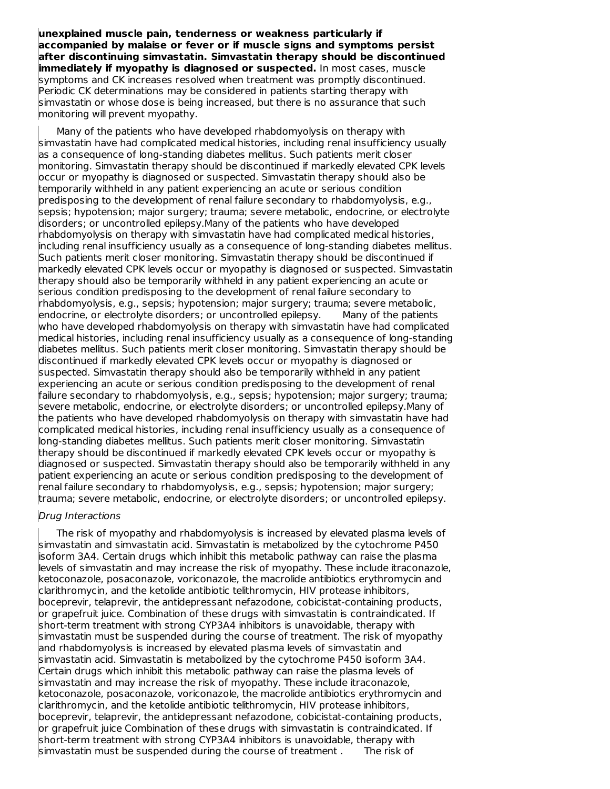**unexplained muscle pain, tenderness or weakness particularly if accompanied by malaise or fever or if muscle signs and symptoms persist after discontinuing simvastatin. Simvastatin therapy should be discontinued immediately if myopathy is diagnosed or suspected.** In most cases, muscle symptoms and CK increases resolved when treatment was promptly discontinued. Periodic CK determinations may be considered in patients starting therapy with simvastatin or whose dose is being increased, but there is no assurance that such monitoring will prevent myopathy.

Many of the patients who have developed rhabdomyolysis on therapy with simvastatin have had complicated medical histories, including renal insufficiency usually as a consequence of long-standing diabetes mellitus. Such patients merit closer monitoring. Simvastatin therapy should be discontinued if markedly elevated CPK levels occur or myopathy is diagnosed or suspected. Simvastatin therapy should also be temporarily withheld in any patient experiencing an acute or serious condition predisposing to the development of renal failure secondary to rhabdomyolysis, e.g., sepsis; hypotension; major surgery; trauma; severe metabolic, endocrine, or electrolyte disorders; or uncontrolled epilepsy.Many of the patients who have developed rhabdomyolysis on therapy with simvastatin have had complicated medical histories, including renal insufficiency usually as a consequence of long-standing diabetes mellitus. Such patients merit closer monitoring. Simvastatin therapy should be discontinued if markedly elevated CPK levels occur or myopathy is diagnosed or suspected. Simvastatin therapy should also be temporarily withheld in any patient experiencing an acute or serious condition predisposing to the development of renal failure secondary to rhabdomyolysis, e.g., sepsis; hypotension; major surgery; trauma; severe metabolic, endocrine, or electrolyte disorders; or uncontrolled epilepsy. Many of the patients who have developed rhabdomyolysis on therapy with simvastatin have had complicated medical histories, including renal insufficiency usually as a consequence of long-standing diabetes mellitus. Such patients merit closer monitoring. Simvastatin therapy should be discontinued if markedly elevated CPK levels occur or myopathy is diagnosed or suspected. Simvastatin therapy should also be temporarily withheld in any patient experiencing an acute or serious condition predisposing to the development of renal failure secondary to rhabdomyolysis, e.g., sepsis; hypotension; major surgery; trauma; severe metabolic, endocrine, or electrolyte disorders; or uncontrolled epilepsy.Many of the patients who have developed rhabdomyolysis on therapy with simvastatin have had complicated medical histories, including renal insufficiency usually as a consequence of long-standing diabetes mellitus. Such patients merit closer monitoring. Simvastatin therapy should be discontinued if markedly elevated CPK levels occur or myopathy is diagnosed or suspected. Simvastatin therapy should also be temporarily withheld in any patient experiencing an acute or serious condition predisposing to the development of renal failure secondary to rhabdomyolysis, e.g., sepsis; hypotension; major surgery; trauma; severe metabolic, endocrine, or electrolyte disorders; or uncontrolled epilepsy.

#### Drug Interactions

The risk of myopathy and rhabdomyolysis is increased by elevated plasma levels of simvastatin and simvastatin acid. Simvastatin is metabolized by the cytochrome P450 isoform 3A4. Certain drugs which inhibit this metabolic pathway can raise the plasma levels of simvastatin and may increase the risk of myopathy. These include itraconazole, ketoconazole, posaconazole, voriconazole, the macrolide antibiotics erythromycin and clarithromycin, and the ketolide antibiotic telithromycin, HIV protease inhibitors, boceprevir, telaprevir, the antidepressant nefazodone, cobicistat-containing products, or grapefruit juice. Combination of these drugs with simvastatin is contraindicated. If short-term treatment with strong CYP3A4 inhibitors is unavoidable, therapy with simvastatin must be suspended during the course of treatment. The risk of myopathy and rhabdomyolysis is increased by elevated plasma levels of simvastatin and simvastatin acid. Simvastatin is metabolized by the cytochrome P450 isoform 3A4. Certain drugs which inhibit this metabolic pathway can raise the plasma levels of simvastatin and may increase the risk of myopathy. These include itraconazole, ketoconazole, posaconazole, voriconazole, the macrolide antibiotics erythromycin and clarithromycin, and the ketolide antibiotic telithromycin, HIV protease inhibitors, boceprevir, telaprevir, the antidepressant nefazodone, cobicistat-containing products, or grapefruit juice Combination of these drugs with simvastatin is contraindicated. If short-term treatment with strong CYP3A4 inhibitors is unavoidable, therapy with simvastatin must be suspended during the course of treatment . The risk of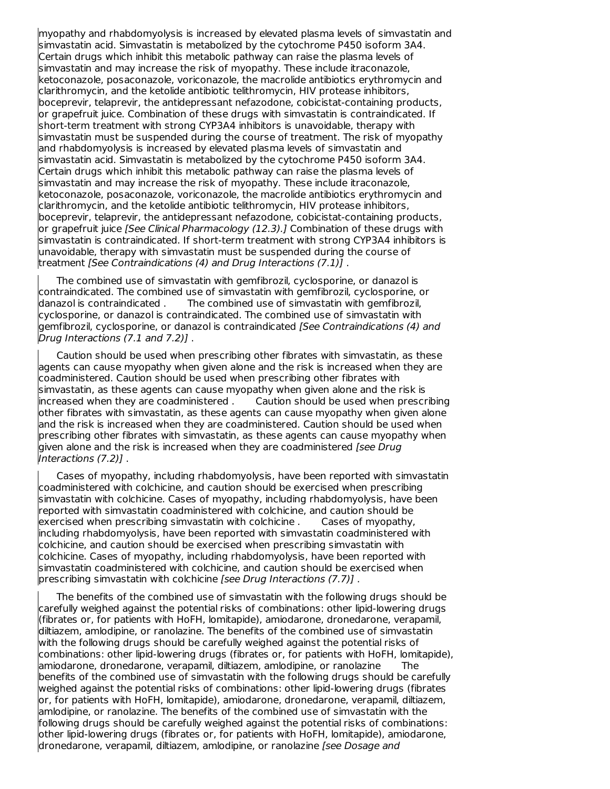myopathy and rhabdomyolysis is increased by elevated plasma levels of simvastatin and simvastatin acid. Simvastatin is metabolized by the cytochrome P450 isoform 3A4. Certain drugs which inhibit this metabolic pathway can raise the plasma levels of simvastatin and may increase the risk of myopathy. These include itraconazole, ketoconazole, posaconazole, voriconazole, the macrolide antibiotics erythromycin and clarithromycin, and the ketolide antibiotic telithromycin, HIV protease inhibitors, boceprevir, telaprevir, the antidepressant nefazodone, cobicistat-containing products, or grapefruit juice. Combination of these drugs with simvastatin is contraindicated. If short-term treatment with strong CYP3A4 inhibitors is unavoidable, therapy with simvastatin must be suspended during the course of treatment. The risk of myopathy and rhabdomyolysis is increased by elevated plasma levels of simvastatin and simvastatin acid. Simvastatin is metabolized by the cytochrome P450 isoform 3A4. Certain drugs which inhibit this metabolic pathway can raise the plasma levels of simvastatin and may increase the risk of myopathy. These include itraconazole, ketoconazole, posaconazole, voriconazole, the macrolide antibiotics erythromycin and clarithromycin, and the ketolide antibiotic telithromycin, HIV protease inhibitors, boceprevir, telaprevir, the antidepressant nefazodone, cobicistat-containing products, or grapefruit juice *[See Clinical Pharmacology (12.3).]* Combination of these drugs with simvastatin is contraindicated. If short-term treatment with strong CYP3A4 inhibitors is unavoidable, therapy with simvastatin must be suspended during the course of treatment [See Contraindications (4) and Drug Interactions (7.1)] .

The combined use of simvastatin with gemfibrozil, cyclosporine, or danazol is contraindicated. The combined use of simvastatin with gemfibrozil, cyclosporine, or danazol is contraindicated . The combined use of simvastatin with gemfibrozil, cyclosporine, or danazol is contraindicated. The combined use of simvastatin with gemfibrozil, cyclosporine, or danazol is contraindicated [See Contraindications (4) and Drug Interactions (7.1 and 7.2)] .

Caution should be used when prescribing other fibrates with simvastatin, as these agents can cause myopathy when given alone and the risk is increased when they are coadministered. Caution should be used when prescribing other fibrates with simvastatin, as these agents can cause myopathy when given alone and the risk is increased when they are coadministered . Caution should be used when prescribing other fibrates with simvastatin, as these agents can cause myopathy when given alone and the risk is increased when they are coadministered. Caution should be used when prescribing other fibrates with simvastatin, as these agents can cause myopathy when given alone and the risk is increased when they are coadministered [see Drug Interactions (7.2)] .

Cases of myopathy, including rhabdomyolysis, have been reported with simvastatin coadministered with colchicine, and caution should be exercised when prescribing simvastatin with colchicine. Cases of myopathy, including rhabdomyolysis, have been reported with simvastatin coadministered with colchicine, and caution should be exercised when prescribing simvastatin with colchicine . Cases of myopathy, including rhabdomyolysis, have been reported with simvastatin coadministered with colchicine, and caution should be exercised when prescribing simvastatin with colchicine. Cases of myopathy, including rhabdomyolysis, have been reported with simvastatin coadministered with colchicine, and caution should be exercised when prescribing simvastatin with colchicine [see Drug Interactions (7.7)].

The benefits of the combined use of simvastatin with the following drugs should be carefully weighed against the potential risks of combinations: other lipid-lowering drugs (fibrates or, for patients with HoFH, lomitapide), amiodarone, dronedarone, verapamil, diltiazem, amlodipine, or ranolazine. The benefits of the combined use of simvastatin with the following drugs should be carefully weighed against the potential risks of combinations: other lipid-lowering drugs (fibrates or, for patients with HoFH, lomitapide), amiodarone, dronedarone, verapamil, diltiazem, amlodipine, or ranolazine The benefits of the combined use of simvastatin with the following drugs should be carefully weighed against the potential risks of combinations: other lipid-lowering drugs (fibrates or, for patients with HoFH, lomitapide), amiodarone, dronedarone, verapamil, diltiazem, amlodipine, or ranolazine. The benefits of the combined use of simvastatin with the following drugs should be carefully weighed against the potential risks of combinations: other lipid-lowering drugs (fibrates or, for patients with HoFH, lomitapide), amiodarone, dronedarone, verapamil, diltiazem, amlodipine, or ranolazine [see Dosage and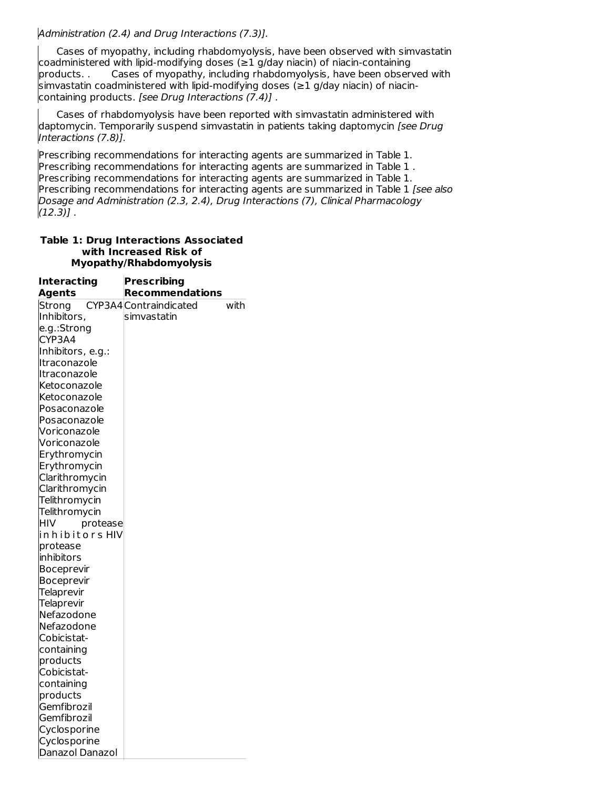Administration (2.4) and Drug Interactions (7.3)].

Cases of myopathy, including rhabdomyolysis, have been observed with simvastatin coadministered with lipid-modifying doses (≥1 g/day niacin) of niacin-containing<br>products. . Cases of myopathy, including rhabdomyolysis, have been obser Cases of myopathy, including rhabdomyolysis, have been observed with simvastatin coadministered with lipid-modifying doses (≥1 g/day niacin) of niacincontaining products. [see Drug Interactions (7.4)] .

Cases of rhabdomyolysis have been reported with simvastatin administered with daptomycin. Temporarily suspend simvastatin in patients taking daptomycin [see Drug Interactions (7.8)].

Prescribing recommendations for interacting agents are summarized in Table 1. Prescribing recommendations for interacting agents are summarized in Table 1 . Prescribing recommendations for interacting agents are summarized in Table 1. Prescribing recommendations for interacting agents are summarized in Table 1 [see also Dosage and Administration (2.3, 2.4), Drug Interactions (7), Clinical Pharmacology  $(12.3)$ ].

| <b>Table 1: Drug Interactions Associated</b> |
|----------------------------------------------|
| with Increased Risk of                       |
| Myopathy/Rhabdomyolysis                      |

| <b>Interacting</b>     | <b>Prescribing</b>             |  |
|------------------------|--------------------------------|--|
| <b>Agents</b>          | <b>Recommendations</b>         |  |
| Strong                 | CYP3A4 Contraindicated<br>with |  |
| Inhibitors,            | simvastatin                    |  |
| e.g.:Strong            |                                |  |
| CYP3A4                 |                                |  |
| Inhibitors, e.g.:      |                                |  |
| Itraconazole           |                                |  |
| Itraconazole           |                                |  |
| Ketoconazole           |                                |  |
| Ketoconazole           |                                |  |
| Posaconazole           |                                |  |
| Posaconazole           |                                |  |
| Voriconazole           |                                |  |
| Voriconazole           |                                |  |
| Erythromycin           |                                |  |
| Erythromycin           |                                |  |
| Clarithromycin         |                                |  |
| Clarithromycin         |                                |  |
| Telithromycin          |                                |  |
| Telithromycin          |                                |  |
| HIV<br>protease        |                                |  |
| in h i b i t o r s HIV |                                |  |
| protease               |                                |  |
| inhibitors             |                                |  |
| <b>Boceprevir</b>      |                                |  |
| <b>Boceprevir</b>      |                                |  |
| Telaprevir             |                                |  |
| <b>Telaprevir</b>      |                                |  |
| Nefazodone             |                                |  |
| Nefazodone             |                                |  |
| Cobicistat-            |                                |  |
| containing             |                                |  |
| products               |                                |  |
| Cobicistat-            |                                |  |
| containing             |                                |  |
| products               |                                |  |
| Gemfibrozil            |                                |  |
| Gemfibrozil            |                                |  |
| Cyclosporine           |                                |  |
| Cyclosporine           |                                |  |
| Danazol Danazol        |                                |  |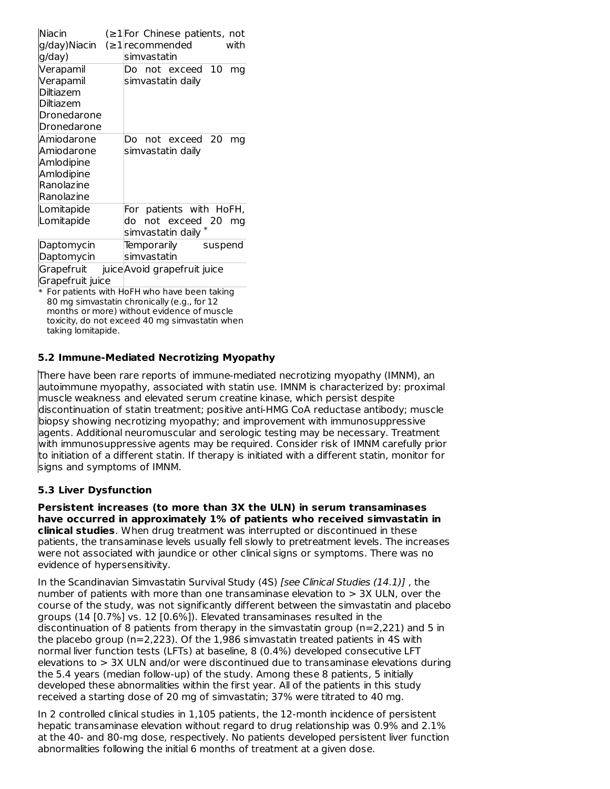| Niacin<br>g/day)Niacin<br>g/day)                                                      |    | simvastatin                | $\leq$ 1 For Chinese patients, not<br>$\leq$ 1 recommended    |         | with |
|---------------------------------------------------------------------------------------|----|----------------------------|---------------------------------------------------------------|---------|------|
| Verapamil<br>Verapamil<br><b>Diltiazem</b><br>Diltiazem<br>Dronedarone<br>Dronedarone |    |                            | Do not exceed<br>simvastatin daily                            | -10     | ma   |
| Amiodarone<br>Amiodarone<br>Amlodipine<br>Amlodipine<br>Ranolazine<br>Ranolazine      |    |                            | Do not exceed 20<br>simvastatin daily                         |         | ma   |
| Lomitapide<br>Lomitapide                                                              | do |                            | For patients with HoFH,<br>not exceed 20<br>simvastatin daily |         | mq   |
| Daptomycin<br>Daptomycin                                                              |    | Temporarily<br>simvastatin |                                                               | suspend |      |
| Grapefruit<br>Grapefruit juice                                                        |    |                            | juice Avoid grapefruit juice                                  |         |      |

\* For patients with HoFH who have been taking 80 mg simvastatin chronically (e.g., for 12 months or more) without evidence of muscle toxicity, do not exceed 40 mg simvastatin when taking lomitapide.

# **5.2 Immune-Mediated Necrotizing Myopathy**

There have been rare reports of immune-mediated necrotizing myopathy (IMNM), an autoimmune myopathy, associated with statin use. IMNM is characterized by: proximal muscle weakness and elevated serum creatine kinase, which persist despite discontinuation of statin treatment; positive anti-HMG CoA reductase antibody; muscle biopsy showing necrotizing myopathy; and improvement with immunosuppressive agents. Additional neuromuscular and serologic testing may be necessary. Treatment with immunosuppressive agents may be required. Consider risk of IMNM carefully prior to initiation of a different statin. If therapy is initiated with a different statin, monitor for signs and symptoms of IMNM.

# **5.3 Liver Dysfunction**

**Persistent increases (to more than 3X the ULN) in serum transaminases have occurred in approximately 1% of patients who received simvastatin in clinical studies**. When drug treatment was interrupted or discontinued in these patients, the transaminase levels usually fell slowly to pretreatment levels. The increases were not associated with jaundice or other clinical signs or symptoms. There was no evidence of hypersensitivity.

In the Scandinavian Simvastatin Survival Study (4S) [see Clinical Studies (14.1)] , the number of patients with more than one transaminase elevation to  $> 3X$  ULN, over the course of the study, was not significantly different between the simvastatin and placebo groups (14 [0.7%] vs. 12 [0.6%]). Elevated transaminases resulted in the discontinuation of 8 patients from therapy in the simvastatin group ( $n=2,221$ ) and 5 in the placebo group (n=2,223). Of the 1,986 simvastatin treated patients in 4S with normal liver function tests (LFTs) at baseline, 8 (0.4%) developed consecutive LFT elevations to > 3X ULN and/or were discontinued due to transaminase elevations during the 5.4 years (median follow-up) of the study. Among these 8 patients, 5 initially developed these abnormalities within the first year. All of the patients in this study received a starting dose of 20 mg of simvastatin; 37% were titrated to 40 mg.

In 2 controlled clinical studies in 1,105 patients, the 12-month incidence of persistent hepatic transaminase elevation without regard to drug relationship was 0.9% and 2.1% at the 40- and 80-mg dose, respectively. No patients developed persistent liver function abnormalities following the initial 6 months of treatment at a given dose.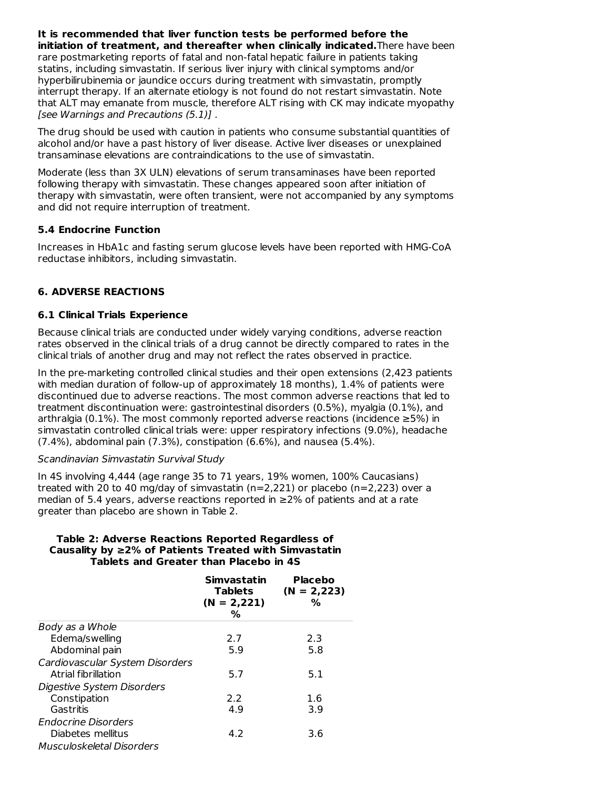**It is recommended that liver function tests be performed before the initiation of treatment, and thereafter when clinically indicated.**There have been rare postmarketing reports of fatal and non-fatal hepatic failure in patients taking statins, including simvastatin. If serious liver injury with clinical symptoms and/or hyperbilirubinemia or jaundice occurs during treatment with simvastatin, promptly interrupt therapy. If an alternate etiology is not found do not restart simvastatin. Note that ALT may emanate from muscle, therefore ALT rising with CK may indicate myopathy [see Warnings and Precautions (5.1)] .

The drug should be used with caution in patients who consume substantial quantities of alcohol and/or have a past history of liver disease. Active liver diseases or unexplained transaminase elevations are contraindications to the use of simvastatin.

Moderate (less than 3X ULN) elevations of serum transaminases have been reported following therapy with simvastatin. These changes appeared soon after initiation of therapy with simvastatin, were often transient, were not accompanied by any symptoms and did not require interruption of treatment.

### **5.4 Endocrine Function**

Increases in HbA1c and fasting serum glucose levels have been reported with HMG-CoA reductase inhibitors, including simvastatin.

# **6. ADVERSE REACTIONS**

# **6.1 Clinical Trials Experience**

Because clinical trials are conducted under widely varying conditions, adverse reaction rates observed in the clinical trials of a drug cannot be directly compared to rates in the clinical trials of another drug and may not reflect the rates observed in practice.

In the pre-marketing controlled clinical studies and their open extensions (2,423 patients with median duration of follow-up of approximately 18 months), 1.4% of patients were discontinued due to adverse reactions. The most common adverse reactions that led to treatment discontinuation were: gastrointestinal disorders (0.5%), myalgia (0.1%), and arthralgia (0.1%). The most commonly reported adverse reactions (incidence  $\geq 5\%$ ) in simvastatin controlled clinical trials were: upper respiratory infections (9.0%), headache (7.4%), abdominal pain (7.3%), constipation (6.6%), and nausea (5.4%).

#### Scandinavian Simvastatin Survival Study

In 4S involving 4,444 (age range 35 to 71 years, 19% women, 100% Caucasians) treated with 20 to 40 mg/day of simvastatin  $(n=2,221)$  or placebo  $(n=2,223)$  over a median of 5.4 years, adverse reactions reported in ≥2% of patients and at a rate greater than placebo are shown in Table 2.

#### **Table 2: Adverse Reactions Reported Regardless of Causality by ≥2% of Patients Treated with Simvastatin Tablets and Greater than Placebo in 4S**

|                                                        | Simvastatin<br><b>Tablets</b><br>$(N = 2,221)$<br>℅ | <b>Placebo</b><br>$(N = 2,223)$<br>% |
|--------------------------------------------------------|-----------------------------------------------------|--------------------------------------|
| Body as a Whole                                        |                                                     |                                      |
| Edema/swelling                                         | 2.7                                                 | 2.3                                  |
| Abdominal pain                                         | 5.9                                                 | 5.8                                  |
| Cardiovascular System Disorders<br>Atrial fibrillation | 5.7                                                 | 5.1                                  |
| Digestive System Disorders                             |                                                     |                                      |
| Constipation                                           | 2.2                                                 | 1.6                                  |
| Gastritis                                              | 4.9                                                 | 3.9                                  |
| Endocrine Disorders                                    |                                                     |                                      |
| Diabetes mellitus                                      | 4.2                                                 | 3.6                                  |
| Musculoskeletal Disorders                              |                                                     |                                      |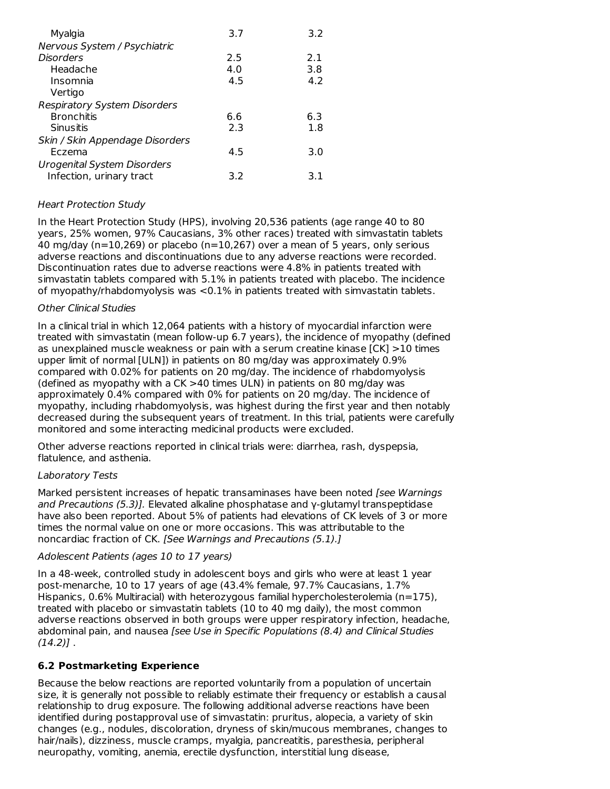| Myalgia                             | 3.7 | 3.2 |
|-------------------------------------|-----|-----|
| Nervous System / Psychiatric        |     |     |
| <b>Disorders</b>                    | 2.5 | 2.1 |
| Headache                            | 4.0 | 3.8 |
| Insomnia                            | 4.5 | 4.2 |
| Vertigo                             |     |     |
| <b>Respiratory System Disorders</b> |     |     |
| <b>Bronchitis</b>                   | 6.6 | 6.3 |
| Sinusitis                           | 2.3 | 1.8 |
| Skin / Skin Appendage Disorders     |     |     |
| Eczema                              | 4.5 | 3.0 |
| <b>Urogenital System Disorders</b>  |     |     |
| Infection, urinary tract            | 3.2 | 3.1 |

# Heart Protection Study

In the Heart Protection Study (HPS), involving 20,536 patients (age range 40 to 80 years, 25% women, 97% Caucasians, 3% other races) treated with simvastatin tablets 40 mg/day (n=10,269) or placebo (n=10,267) over a mean of 5 years, only serious adverse reactions and discontinuations due to any adverse reactions were recorded. Discontinuation rates due to adverse reactions were 4.8% in patients treated with simvastatin tablets compared with 5.1% in patients treated with placebo. The incidence of myopathy/rhabdomyolysis was <0.1% in patients treated with simvastatin tablets.

### Other Clinical Studies

In a clinical trial in which 12,064 patients with a history of myocardial infarction were treated with simvastatin (mean follow-up 6.7 years), the incidence of myopathy (defined as unexplained muscle weakness or pain with a serum creatine kinase [CK] >10 times upper limit of normal [ULN]) in patients on 80 mg/day was approximately 0.9% compared with 0.02% for patients on 20 mg/day. The incidence of rhabdomyolysis (defined as myopathy with a CK >40 times ULN) in patients on 80 mg/day was approximately 0.4% compared with 0% for patients on 20 mg/day. The incidence of myopathy, including rhabdomyolysis, was highest during the first year and then notably decreased during the subsequent years of treatment. In this trial, patients were carefully monitored and some interacting medicinal products were excluded.

Other adverse reactions reported in clinical trials were: diarrhea, rash, dyspepsia, flatulence, and asthenia.

# Laboratory Tests

Marked persistent increases of hepatic transaminases have been noted [see Warnings] and Precautions (5.3)]. Elevated alkaline phosphatase and γ-glutamyl transpeptidase have also been reported. About 5% of patients had elevations of CK levels of 3 or more times the normal value on one or more occasions. This was attributable to the noncardiac fraction of CK. [See Warnings and Precautions (5.1).]

#### Adolescent Patients (ages 10 to 17 years)

In a 48-week, controlled study in adolescent boys and girls who were at least 1 year post-menarche, 10 to 17 years of age (43.4% female, 97.7% Caucasians, 1.7% Hispanics,  $0.6\%$  Multiracial) with heterozygous familial hypercholesterolemia (n=175), treated with placebo or simvastatin tablets (10 to 40 mg daily), the most common adverse reactions observed in both groups were upper respiratory infection, headache, abdominal pain, and nausea [see Use in Specific Populations (8.4) and Clinical Studies  $(14.2)$ ].

# **6.2 Postmarketing Experience**

Because the below reactions are reported voluntarily from a population of uncertain size, it is generally not possible to reliably estimate their frequency or establish a causal relationship to drug exposure. The following additional adverse reactions have been identified during postapproval use of simvastatin: pruritus, alopecia, a variety of skin changes (e.g., nodules, discoloration, dryness of skin/mucous membranes, changes to hair/nails), dizziness, muscle cramps, myalgia, pancreatitis, paresthesia, peripheral neuropathy, vomiting, anemia, erectile dysfunction, interstitial lung disease,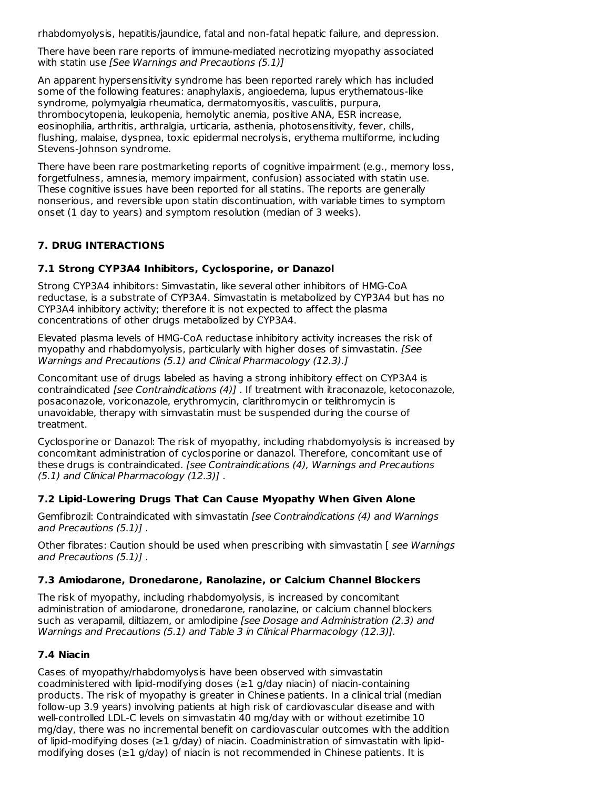rhabdomyolysis, hepatitis/jaundice, fatal and non-fatal hepatic failure, and depression.

There have been rare reports of immune-mediated necrotizing myopathy associated with statin use [See Warnings and Precautions (5.1)]

An apparent hypersensitivity syndrome has been reported rarely which has included some of the following features: anaphylaxis, angioedema, lupus erythematous-like syndrome, polymyalgia rheumatica, dermatomyositis, vasculitis, purpura, thrombocytopenia, leukopenia, hemolytic anemia, positive ANA, ESR increase, eosinophilia, arthritis, arthralgia, urticaria, asthenia, photosensitivity, fever, chills, flushing, malaise, dyspnea, toxic epidermal necrolysis, erythema multiforme, including Stevens-Johnson syndrome.

There have been rare postmarketing reports of cognitive impairment (e.g., memory loss, forgetfulness, amnesia, memory impairment, confusion) associated with statin use. These cognitive issues have been reported for all statins. The reports are generally nonserious, and reversible upon statin discontinuation, with variable times to symptom onset (1 day to years) and symptom resolution (median of 3 weeks).

# **7. DRUG INTERACTIONS**

# **7.1 Strong CYP3A4 Inhibitors, Cyclosporine, or Danazol**

Strong CYP3A4 inhibitors: Simvastatin, like several other inhibitors of HMG-CoA reductase, is a substrate of CYP3A4. Simvastatin is metabolized by CYP3A4 but has no CYP3A4 inhibitory activity; therefore it is not expected to affect the plasma concentrations of other drugs metabolized by CYP3A4.

Elevated plasma levels of HMG-CoA reductase inhibitory activity increases the risk of myopathy and rhabdomyolysis, particularly with higher doses of simvastatin. [See Warnings and Precautions (5.1) and Clinical Pharmacology (12.3).]

Concomitant use of drugs labeled as having a strong inhibitory effect on CYP3A4 is contraindicated [see Contraindications (4)] . If treatment with itraconazole, ketoconazole, posaconazole, voriconazole, erythromycin, clarithromycin or telithromycin is unavoidable, therapy with simvastatin must be suspended during the course of treatment.

Cyclosporine or Danazol: The risk of myopathy, including rhabdomyolysis is increased by concomitant administration of cyclosporine or danazol. Therefore, concomitant use of these drugs is contraindicated. [see Contraindications (4), Warnings and Precautions (5.1) and Clinical Pharmacology (12.3)] .

# **7.2 Lipid-Lowering Drugs That Can Cause Myopathy When Given Alone**

Gemfibrozil: Contraindicated with simvastatin [see Contraindications (4) and Warnings and Precautions (5.1)] .

Other fibrates: Caution should be used when prescribing with simvastatin [ see Warnings and Precautions (5.1)] .

# **7.3 Amiodarone, Dronedarone, Ranolazine, or Calcium Channel Blockers**

The risk of myopathy, including rhabdomyolysis, is increased by concomitant administration of amiodarone, dronedarone, ranolazine, or calcium channel blockers such as verapamil, diltiazem, or amlodipine [see Dosage and Administration (2.3) and Warnings and Precautions (5.1) and Table 3 in Clinical Pharmacology (12.3)].

# **7.4 Niacin**

Cases of myopathy/rhabdomyolysis have been observed with simvastatin coadministered with lipid-modifying doses ( $\geq 1$  g/day niacin) of niacin-containing products. The risk of myopathy is greater in Chinese patients. In a clinical trial (median follow-up 3.9 years) involving patients at high risk of cardiovascular disease and with well-controlled LDL-C levels on simvastatin 40 mg/day with or without ezetimibe 10 mg/day, there was no incremental benefit on cardiovascular outcomes with the addition of lipid-modifying doses (≥1 g/day) of niacin. Coadministration of simvastatin with lipid modifying doses (≥1 g/day) of niacin is not recommended in Chinese patients. It is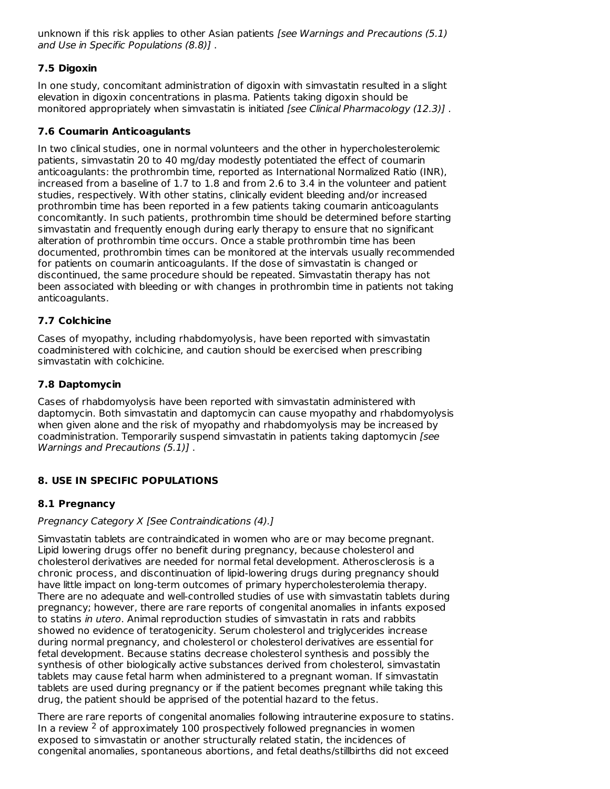unknown if this risk applies to other Asian patients [see Warnings and Precautions (5.1) and Use in Specific Populations (8.8)] .

# **7.5 Digoxin**

In one study, concomitant administration of digoxin with simvastatin resulted in a slight elevation in digoxin concentrations in plasma. Patients taking digoxin should be monitored appropriately when simvastatin is initiated [see Clinical Pharmacology (12.3)].

# **7.6 Coumarin Anticoagulants**

In two clinical studies, one in normal volunteers and the other in hypercholesterolemic patients, simvastatin 20 to 40 mg/day modestly potentiated the effect of coumarin anticoagulants: the prothrombin time, reported as International Normalized Ratio (INR), increased from a baseline of 1.7 to 1.8 and from 2.6 to 3.4 in the volunteer and patient studies, respectively. With other statins, clinically evident bleeding and/or increased prothrombin time has been reported in a few patients taking coumarin anticoagulants concomitantly. In such patients, prothrombin time should be determined before starting simvastatin and frequently enough during early therapy to ensure that no significant alteration of prothrombin time occurs. Once a stable prothrombin time has been documented, prothrombin times can be monitored at the intervals usually recommended for patients on coumarin anticoagulants. If the dose of simvastatin is changed or discontinued, the same procedure should be repeated. Simvastatin therapy has not been associated with bleeding or with changes in prothrombin time in patients not taking anticoagulants.

# **7.7 Colchicine**

Cases of myopathy, including rhabdomyolysis, have been reported with simvastatin coadministered with colchicine, and caution should be exercised when prescribing simvastatin with colchicine.

# **7.8 Daptomycin**

Cases of rhabdomyolysis have been reported with simvastatin administered with daptomycin. Both simvastatin and daptomycin can cause myopathy and rhabdomyolysis when given alone and the risk of myopathy and rhabdomyolysis may be increased by coadministration. Temporarily suspend simvastatin in patients taking daptomycin [see Warnings and Precautions (5.1)] .

# **8. USE IN SPECIFIC POPULATIONS**

# **8.1 Pregnancy**

# Pregnancy Category X [See Contraindications (4).]

Simvastatin tablets are contraindicated in women who are or may become pregnant. Lipid lowering drugs offer no benefit during pregnancy, because cholesterol and cholesterol derivatives are needed for normal fetal development. Atherosclerosis is a chronic process, and discontinuation of lipid-lowering drugs during pregnancy should have little impact on long-term outcomes of primary hypercholesterolemia therapy. There are no adequate and well-controlled studies of use with simvastatin tablets during pregnancy; however, there are rare reports of congenital anomalies in infants exposed to statins in utero. Animal reproduction studies of simvastatin in rats and rabbits showed no evidence of teratogenicity. Serum cholesterol and triglycerides increase during normal pregnancy, and cholesterol or cholesterol derivatives are essential for fetal development. Because statins decrease cholesterol synthesis and possibly the synthesis of other biologically active substances derived from cholesterol, simvastatin tablets may cause fetal harm when administered to a pregnant woman. If simvastatin tablets are used during pregnancy or if the patient becomes pregnant while taking this drug, the patient should be apprised of the potential hazard to the fetus.

There are rare reports of congenital anomalies following intrauterine exposure to statins. In a review  $2$  of approximately 100 prospectively followed pregnancies in women exposed to simvastatin or another structurally related statin, the incidences of congenital anomalies, spontaneous abortions, and fetal deaths/stillbirths did not exceed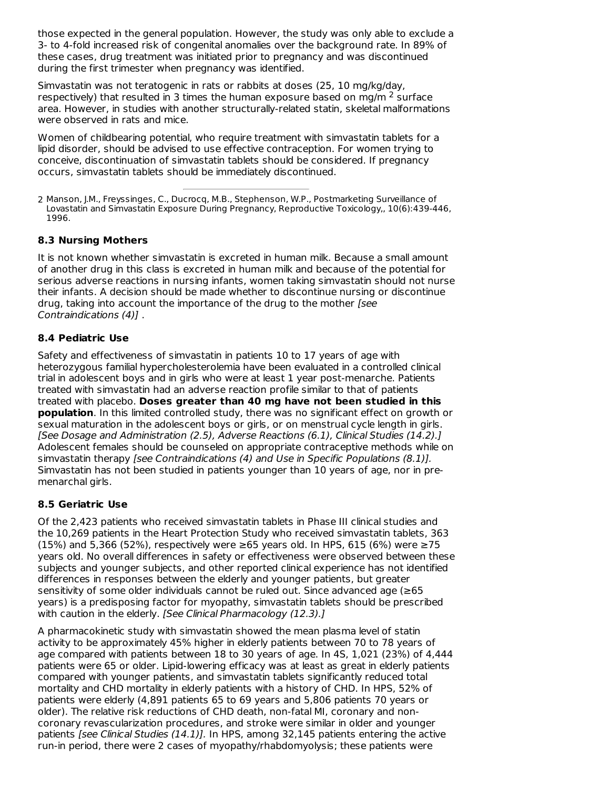those expected in the general population. However, the study was only able to exclude a 3- to 4-fold increased risk of congenital anomalies over the background rate. In 89% of these cases, drug treatment was initiated prior to pregnancy and was discontinued during the first trimester when pregnancy was identified.

Simvastatin was not teratogenic in rats or rabbits at doses (25, 10 mg/kg/day, respectively) that resulted in 3 times the human exposure based on mg/m  $^2$  surface area. However, in studies with another structurally-related statin, skeletal malformations were observed in rats and mice.

Women of childbearing potential, who require treatment with simvastatin tablets for a lipid disorder, should be advised to use effective contraception. For women trying to conceive, discontinuation of simvastatin tablets should be considered. If pregnancy occurs, simvastatin tablets should be immediately discontinued.

2 Manson, J.M., Freyssinges, C., Ducrocq, M.B., Stephenson, W.P., Postmarketing Surveillance of Lovastatin and Simvastatin Exposure During Pregnancy, Reproductive Toxicology,, 10(6):439-446, 1996.

# **8.3 Nursing Mothers**

It is not known whether simvastatin is excreted in human milk. Because a small amount of another drug in this class is excreted in human milk and because of the potential for serious adverse reactions in nursing infants, women taking simvastatin should not nurse their infants. A decision should be made whether to discontinue nursing or discontinue drug, taking into account the importance of the drug to the mother [see Contraindications (4)] .

# **8.4 Pediatric Use**

Safety and effectiveness of simvastatin in patients 10 to 17 years of age with heterozygous familial hypercholesterolemia have been evaluated in a controlled clinical trial in adolescent boys and in girls who were at least 1 year post-menarche. Patients treated with simvastatin had an adverse reaction profile similar to that of patients treated with placebo. **Doses greater than 40 mg have not been studied in this population**. In this limited controlled study, there was no significant effect on growth or sexual maturation in the adolescent boys or girls, or on menstrual cycle length in girls. [See Dosage and Administration (2.5), Adverse Reactions (6.1), Clinical Studies (14.2).] Adolescent females should be counseled on appropriate contraceptive methods while on simvastatin therapy [see Contraindications (4) and Use in Specific Populations (8.1)]. Simvastatin has not been studied in patients younger than 10 years of age, nor in pre menarchal girls.

# **8.5 Geriatric Use**

Of the 2,423 patients who received simvastatin tablets in Phase III clinical studies and the 10,269 patients in the Heart Protection Study who received simvastatin tablets, 363 (15%) and 5,366 (52%), respectively were ≥65 years old. In HPS, 615 (6%) were ≥75 years old. No overall differences in safety or effectiveness were observed between these subjects and younger subjects, and other reported clinical experience has not identified differences in responses between the elderly and younger patients, but greater sensitivity of some older individuals cannot be ruled out. Since advanced age (≥65 years) is a predisposing factor for myopathy, simvastatin tablets should be prescribed with caution in the elderly. [See Clinical Pharmacology (12.3).]

A pharmacokinetic study with simvastatin showed the mean plasma level of statin activity to be approximately 45% higher in elderly patients between 70 to 78 years of age compared with patients between 18 to 30 years of age. In 4S, 1,021 (23%) of 4,444 patients were 65 or older. Lipid-lowering efficacy was at least as great in elderly patients compared with younger patients, and simvastatin tablets significantly reduced total mortality and CHD mortality in elderly patients with a history of CHD. In HPS, 52% of patients were elderly (4,891 patients 65 to 69 years and 5,806 patients 70 years or older). The relative risk reductions of CHD death, non-fatal MI, coronary and noncoronary revascularization procedures, and stroke were similar in older and younger patients [see Clinical Studies (14.1)]. In HPS, among 32,145 patients entering the active run-in period, there were 2 cases of myopathy/rhabdomyolysis; these patients were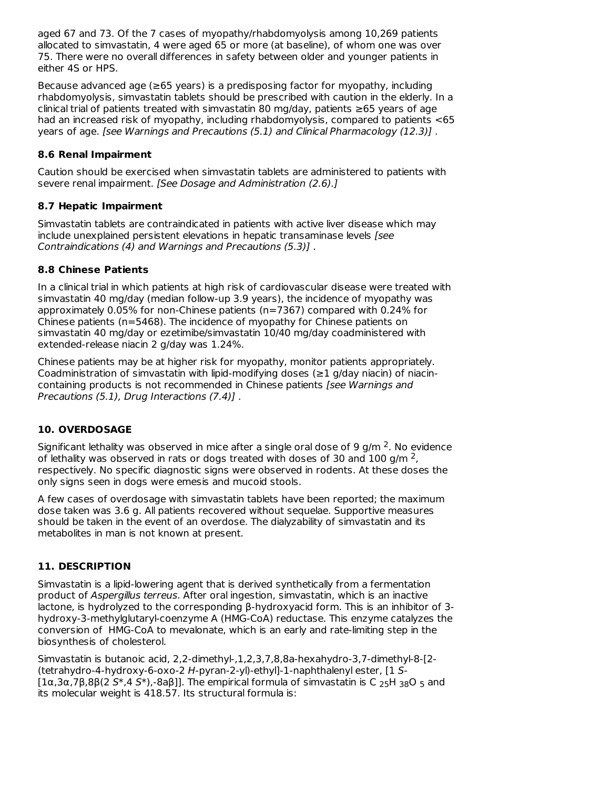aged 67 and 73. Of the 7 cases of myopathy/rhabdomyolysis among 10,269 patients allocated to simvastatin, 4 were aged 65 or more (at baseline), of whom one was over 75. There were no overall differences in safety between older and younger patients in either 4S or HPS.

Because advanced age (≥65 years) is a predisposing factor for myopathy, including rhabdomyolysis, simvastatin tablets should be prescribed with caution in the elderly. In a clinical trial of patients treated with simvastatin 80 mg/day, patients ≥65 years of age had an increased risk of myopathy, including rhabdomyolysis, compared to patients <65 years of age. [see Warnings and Precautions (5.1) and Clinical Pharmacology (12.3)] .

# **8.6 Renal Impairment**

Caution should be exercised when simvastatin tablets are administered to patients with severe renal impairment. [See Dosage and Administration (2.6).]

# **8.7 Hepatic Impairment**

Simvastatin tablets are contraindicated in patients with active liver disease which may include unexplained persistent elevations in hepatic transaminase levels [see Contraindications (4) and Warnings and Precautions (5.3)] .

# **8.8 Chinese Patients**

In a clinical trial in which patients at high risk of cardiovascular disease were treated with simvastatin 40 mg/day (median follow-up 3.9 years), the incidence of myopathy was approximately 0.05% for non-Chinese patients (n=7367) compared with 0.24% for Chinese patients (n=5468). The incidence of myopathy for Chinese patients on simvastatin 40 mg/day or ezetimibe/simvastatin 10/40 mg/day coadministered with extended-release niacin 2 g/day was 1.24%.

Chinese patients may be at higher risk for myopathy, monitor patients appropriately. Coadministration of simvastatin with lipid-modifying doses ( $\geq$ 1 g/day niacin) of niacincontaining products is not recommended in Chinese patients [see Warnings and Precautions (5.1), Drug Interactions (7.4)] .

# **10. OVERDOSAGE**

Significant lethality was observed in mice after a single oral dose of 9 g/m  $2$ . No evidence of lethality was observed in rats or dogs treated with doses of 30 and 100 g/m  $^2$ , respectively. No specific diagnostic signs were observed in rodents. At these doses the only signs seen in dogs were emesis and mucoid stools.

A few cases of overdosage with simvastatin tablets have been reported; the maximum dose taken was 3.6 g. All patients recovered without sequelae. Supportive measures should be taken in the event of an overdose. The dialyzability of simvastatin and its metabolites in man is not known at present.

# **11. DESCRIPTION**

Simvastatin is a lipid-lowering agent that is derived synthetically from a fermentation product of Aspergillus terreus. After oral ingestion, simvastatin, which is an inactive lactone, is hydrolyzed to the corresponding β-hydroxyacid form. This is an inhibitor of 3 hydroxy-3-methylglutaryl-coenzyme A (HMG-CoA) reductase. This enzyme catalyzes the conversion of HMG-CoA to mevalonate, which is an early and rate-limiting step in the biosynthesis of cholesterol.

Simvastatin is butanoic acid, 2,2-dimethyl-,1,2,3,7,8,8a-hexahydro-3,7-dimethyl-8-[2- (tetrahydro-4-hydroxy-6-oxo-2 H-pyran-2-yl)-ethyl]-1-naphthalenyl ester, [1 S- [1α,3α,7β,8β(2 S\*,4 S\*),-8aβ]]. The empirical formula of simvastatin is C <sub>25</sub>H <sub>38</sub>O <sub>5</sub> and its molecular weight is 418.57. Its structural formula is: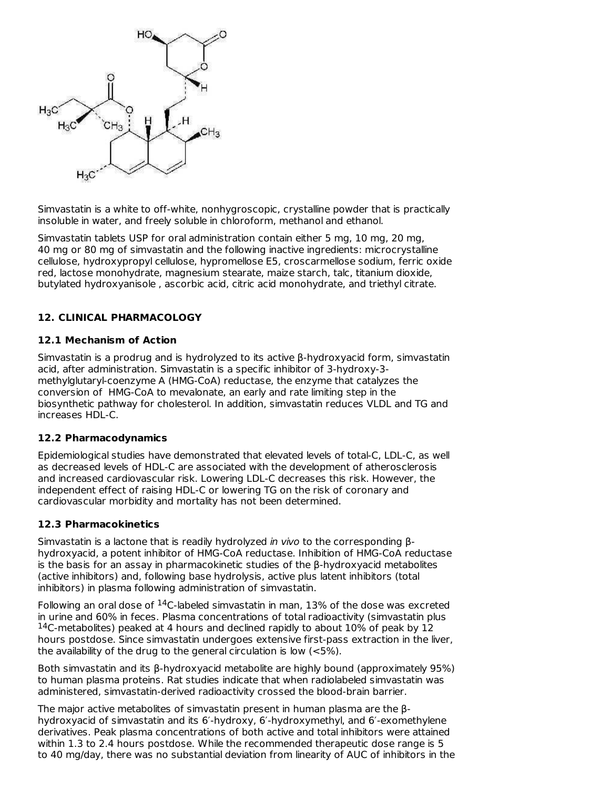

Simvastatin is a white to off-white, nonhygroscopic, crystalline powder that is practically insoluble in water, and freely soluble in chloroform, methanol and ethanol.

Simvastatin tablets USP for oral administration contain either 5 mg, 10 mg, 20 mg, 40 mg or 80 mg of simvastatin and the following inactive ingredients: microcrystalline cellulose, hydroxypropyl cellulose, hypromellose E5, croscarmellose sodium, ferric oxide red, lactose monohydrate, magnesium stearate, maize starch, talc, titanium dioxide, butylated hydroxyanisole , ascorbic acid, citric acid monohydrate, and triethyl citrate.

# **12. CLINICAL PHARMACOLOGY**

# **12.1 Mechanism of Action**

Simvastatin is a prodrug and is hydrolyzed to its active β-hydroxyacid form, simvastatin acid, after administration. Simvastatin is a specific inhibitor of 3-hydroxy-3 methylglutaryl-coenzyme A (HMG-CoA) reductase, the enzyme that catalyzes the conversion of HMG-CoA to mevalonate, an early and rate limiting step in the biosynthetic pathway for cholesterol. In addition, simvastatin reduces VLDL and TG and increases HDL-C.

# **12.2 Pharmacodynamics**

Epidemiological studies have demonstrated that elevated levels of total-C, LDL-C, as well as decreased levels of HDL-C are associated with the development of atherosclerosis and increased cardiovascular risk. Lowering LDL-C decreases this risk. However, the independent effect of raising HDL-C or lowering TG on the risk of coronary and cardiovascular morbidity and mortality has not been determined.

#### **12.3 Pharmacokinetics**

Simvastatin is a lactone that is readily hydrolyzed in vivo to the corresponding βhydroxyacid, a potent inhibitor of HMG-CoA reductase. Inhibition of HMG-CoA reductase is the basis for an assay in pharmacokinetic studies of the β-hydroxyacid metabolites (active inhibitors) and, following base hydrolysis, active plus latent inhibitors (total inhibitors) in plasma following administration of simvastatin.

Following an oral dose of  $^{14}$ C-labeled simvastatin in man, 13% of the dose was excreted in urine and 60% in feces. Plasma concentrations of total radioactivity (simvastatin plus  $14$ C-metabolites) peaked at 4 hours and declined rapidly to about 10% of peak by 12 hours postdose. Since simvastatin undergoes extensive first-pass extraction in the liver, the availability of the drug to the general circulation is low (<5%).

Both simvastatin and its β-hydroxyacid metabolite are highly bound (approximately 95%) to human plasma proteins. Rat studies indicate that when radiolabeled simvastatin was administered, simvastatin-derived radioactivity crossed the blood-brain barrier.

The major active metabolites of simvastatin present in human plasma are the βhydroxyacid of simvastatin and its 6′-hydroxy, 6′-hydroxymethyl, and 6′-exomethylene derivatives. Peak plasma concentrations of both active and total inhibitors were attained within 1.3 to 2.4 hours postdose. While the recommended therapeutic dose range is 5 to 40 mg/day, there was no substantial deviation from linearity of AUC of inhibitors in the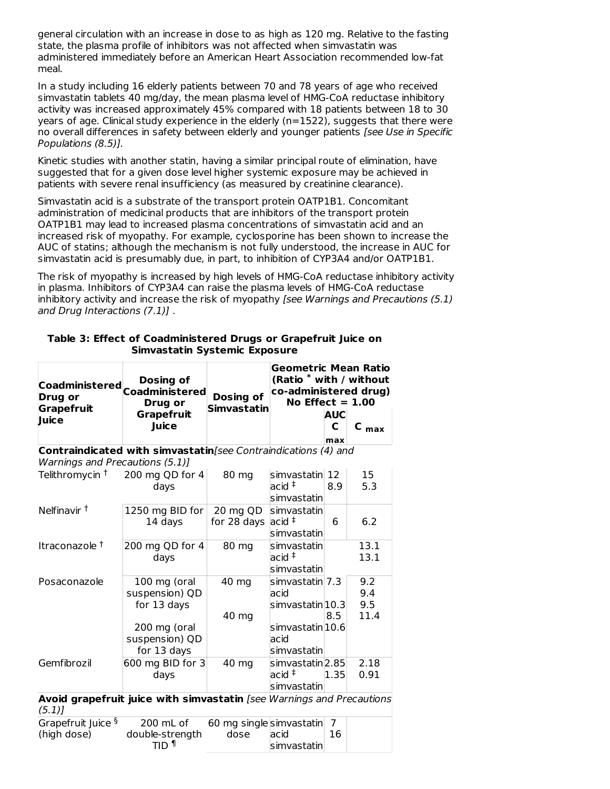general circulation with an increase in dose to as high as 120 mg. Relative to the fasting state, the plasma profile of inhibitors was not affected when simvastatin was administered immediately before an American Heart Association recommended low-fat meal.

In a study including 16 elderly patients between 70 and 78 years of age who received simvastatin tablets 40 mg/day, the mean plasma level of HMG-CoA reductase inhibitory activity was increased approximately 45% compared with 18 patients between 18 to 30 years of age. Clinical study experience in the elderly (n=1522), suggests that there were no overall differences in safety between elderly and younger patients [see Use in Specific Populations (8.5)].

Kinetic studies with another statin, having a similar principal route of elimination, have suggested that for a given dose level higher systemic exposure may be achieved in patients with severe renal insufficiency (as measured by creatinine clearance).

Simvastatin acid is a substrate of the transport protein OATP1B1. Concomitant administration of medicinal products that are inhibitors of the transport protein OATP1B1 may lead to increased plasma concentrations of simvastatin acid and an increased risk of myopathy. For example, cyclosporine has been shown to increase the AUC of statins; although the mechanism is not fully understood, the increase in AUC for simvastatin acid is presumably due, in part, to inhibition of CYP3A4 and/or OATP1B1.

The risk of myopathy is increased by high levels of HMG-CoA reductase inhibitory activity in plasma. Inhibitors of CYP3A4 can raise the plasma levels of HMG-CoA reductase inhibitory activity and increase the risk of myopathy *[see Warnings and Precautions (5.1)* and Drug Interactions (7.1)] .

**Table 3: Effect of Coadministered Drugs or Grapefruit Juice on Simvastatin Systemic Exposure**

| Coadministered Coadministered<br><b>Drug or</b><br>Grapefruit<br>Juice | Dosing of<br>Drug or       | Dosing of<br><b>Simvastatin</b> | <b>Geometric Mean Ratio</b><br>$(Ratio * with / without)$<br>co-administered drug)<br>No Effect $= 1.00$ |                     |           |  |
|------------------------------------------------------------------------|----------------------------|---------------------------------|----------------------------------------------------------------------------------------------------------|---------------------|-----------|--|
|                                                                        | <b>Grapefruit</b><br>Juice |                                 |                                                                                                          | <b>AUC</b><br>$max$ | $C_{max}$ |  |

**Contraindicated with simvastatin**[see Contraindications (4) and Warnings and Precautions (5.1)]

| Telithromycin $\pm$ 200 mg QD for 4                                   |                  | 80 mg                   | simvastatin 12                          |      | 15   |
|-----------------------------------------------------------------------|------------------|-------------------------|-----------------------------------------|------|------|
|                                                                       | days             |                         | $acid$ $\overline{\ }$<br>simvastatinl  | 8.9  | 5.3  |
| Nelfinavir <sup>t</sup>                                               | 1250 mg BID for  | 20 mg QD                | Isimvastatinl                           |      |      |
|                                                                       | 14 days          | for 28 days             | acid                                    | 6    | 6.2  |
|                                                                       |                  |                         | simvastatin                             |      |      |
| Itraconazole <sup>†</sup>                                             | 200 mg QD for 4  | 80 mg                   | simvastatin                             |      | 13.1 |
|                                                                       | days             |                         | $acid$ <sup><math>\ddagger</math></sup> |      | 13.1 |
|                                                                       |                  |                         | simvastatin                             |      |      |
| Posaconazole                                                          | 100 mg (oral     | 40 mg                   | simvastatin  7.3                        |      | 9.2  |
|                                                                       | suspension) QD   |                         | acid                                    |      | 9.4  |
|                                                                       | for 13 days      |                         | simvastatin 10.3                        |      | 9.5  |
|                                                                       |                  | 40 mg                   |                                         | 8.5  | 11.4 |
|                                                                       | 200 mg (oral     |                         | simvastatin 10.6                        |      |      |
|                                                                       | suspension) QD   |                         | acid                                    |      |      |
|                                                                       | for 13 days      |                         | simvastatinl                            |      |      |
| Gemfibrozil                                                           | 600 mg BID for 3 | 40 mg                   | simvastatin <sup>2.85</sup>             |      | 2.18 |
|                                                                       | days             |                         | $acid$ <sup><math>\ddagger</math></sup> | 1.35 | 0.91 |
|                                                                       |                  |                         | simvastatin                             |      |      |
| Avoid grapefruit juice with simvastatin [see Warnings and Precautions |                  |                         |                                         |      |      |
| (5.1)                                                                 |                  |                         |                                         |      |      |
| Grapefruit Juice $\frac{5}{2}$ 200 mL of                              |                  | 60 mg singlesimvastatin |                                         | 7    |      |
| (high dose)                                                           | double-strength  | dose                    | acid                                    | 16   |      |

simvastatin

TID ¶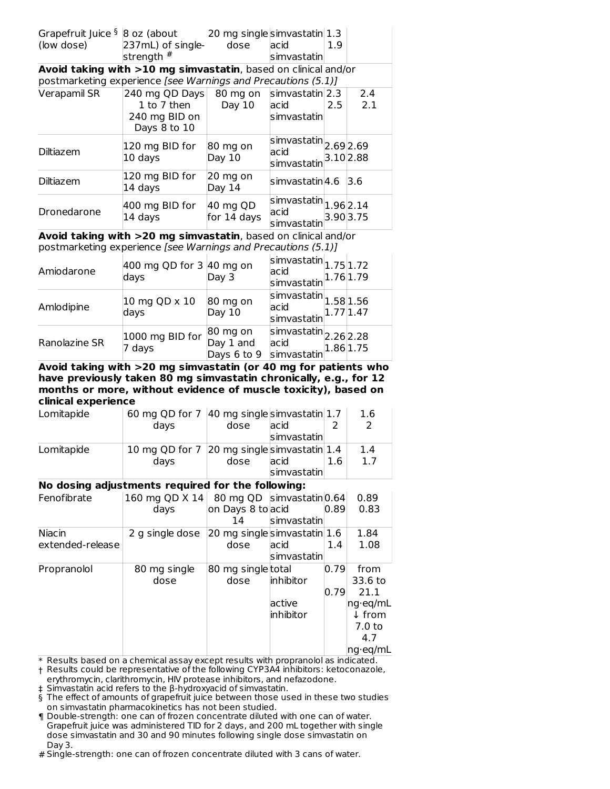| Grapefruit Juice $\frac{6}{5}$ 8 oz (about |                                                                | 20 mg singlesimvastatin 1.3   |                                                                                   |           |           |
|--------------------------------------------|----------------------------------------------------------------|-------------------------------|-----------------------------------------------------------------------------------|-----------|-----------|
| (low dose)                                 | 237mL) of single- dose                                         |                               | lacid                                                                             | 1.9       |           |
|                                            | strength #                                                     |                               | simvastatin                                                                       |           |           |
|                                            | Avoid taking with >10 mg simvastatin, based on clinical and/or |                               |                                                                                   |           |           |
|                                            | postmarketing experience [see Warnings and Precautions (5.1)]  |                               |                                                                                   |           |           |
| Verapamil SR                               | 240 mg QD Days                                                 | 80 mg on                      | $\sin\theta$ simvastatin 2.3                                                      |           | 2.4       |
|                                            | 1 to 7 then                                                    | Day $10$                      | lacid                                                                             | 2.5       | 2.1       |
|                                            | 240 mg BID on                                                  |                               | simvastatin                                                                       |           |           |
|                                            | Days 8 to 10                                                   |                               |                                                                                   |           |           |
| Diltiazem                                  | 120 mg BID for<br>10 days                                      | $ 80 \text{ mg}$ on<br>Day 10 | $\overline{ simv}$ astatin $ 2.69 2.69$<br>acid                                   |           | 3.10 2.88 |
|                                            |                                                                |                               | simvastatin                                                                       |           |           |
| Diltiazem                                  | 120 mg BID for<br>14 days                                      | 20 mg on<br>Day 14            | lsimvastatin 4.6                                                                  |           | 3.6       |
| Dronedarone                                | 400 mg BID for<br>14 days                                      | 40 mg QD<br>for 14 days       | $\overline{\left \textrm{simvastatin}\right _{1.96}}$ 2.14<br>acid<br>simvastatin | 3.90 3.75 |           |

**Avoid taking with >20 mg simvastatin**, based on clinical and/or postmarketing experience [see Warnings and Precautions (5.1)]

| Amiodarone    | 400 mg QD for $3 \vert 40$ mg on<br>days | Day 3                                                                                  | $\left \text{simvastatin}\right _{1.75}\right _{1.72}$<br>$\frac{1}{\text{simvastatin}}$ 1.76 1.79                                                                                                                     |  |
|---------------|------------------------------------------|----------------------------------------------------------------------------------------|------------------------------------------------------------------------------------------------------------------------------------------------------------------------------------------------------------------------|--|
| Amlodipine    | 10 mg QD x 10<br>days                    | 80 mg on<br>Day 10                                                                     | $\overline{\left \textrm{simvastatin}\right }\text{1.58}\left  \text{1.56}\right.$<br>$\begin{array}{c}\n\sqrt{3} \\ \hline\n\text{simvast} \\ \text{atim}\n\end{array}\n\begin{bmatrix}\n1.77 \\ 1.47\n\end{bmatrix}$ |  |
| Ranolazine SR | 1000 mg BID for<br>7 days                | 80 mg on<br>Day 1 and<br>Days 6 to 9 $\sin \theta$ Days 6 to 9 $\sin \theta$ 2.86 1.75 | $\overline{\text{s}$ imvastatin $\vert$ 2.26 $\vert$ 2.28<br>acid                                                                                                                                                      |  |

**Avoid taking with >20 mg simvastatin (or 40 mg for patients who have previously taken 80 mg simvastatin chronically, e.g., for 12 months or more, without evidence of muscle toxicity), based on clinical experience**

| Lomitapide | 60 mg QD for 7 40 mg singlesimvastatin 1.7 |      |             |     | 1.6 |
|------------|--------------------------------------------|------|-------------|-----|-----|
|            | davs                                       | dose | lacid       |     |     |
|            |                                            |      | simvastatin |     |     |
| Lomitapide | 10 mg QD for 7 20 mg singlesimvastatin 1.4 |      |             |     | 1.4 |
|            | days                                       | dose | lacid       | 1.6 | 1.7 |
|            |                                            |      | simvastatin |     |     |

# **No dosing adjustments required for the following:**

| Fenofibrate      | 160 mg QD X 14 80 mg QD simvastatin 0.64 |                             |               |      | 0.89              |
|------------------|------------------------------------------|-----------------------------|---------------|------|-------------------|
|                  | days                                     | on Days 8 to acid           |               | 0.89 | 0.83              |
|                  |                                          | 14                          | Isimvastatinl |      |                   |
| Niacin           | 2 g single dose                          | 20 mg singlesimvastatin 1.6 |               |      | 1.84              |
| extended-release |                                          | dose                        | lacid         | 1.4  | 1.08              |
|                  |                                          |                             | simvastatin   |      |                   |
| Propranolol      | 80 mg single                             | 80 mg single total          |               | 0.79 | from              |
|                  | dose                                     | dose                        | inhibitor     |      | 33.6 to           |
|                  |                                          |                             |               | 0.79 | 21.1              |
|                  |                                          |                             | active        |      | ng·eg/mL          |
|                  |                                          |                             | linhibitor    |      | $\downarrow$ from |
|                  |                                          |                             |               |      | 7.0 <sub>to</sub> |
|                  |                                          |                             |               |      | 4.7               |
|                  |                                          |                             |               |      | ng·eq/mL          |

\* Results based on a chemical assay except results with propranolol as indicated.

† Results could be representative of the following CYP3A4 inhibitors: ketoconazole, erythromycin, clarithromycin, HIV protease inhibitors, and nefazodone.

‡ Simvastatin acid refers to the β-hydroxyacid of simvastatin.

§ The effect of amounts of grapefruit juice between those used in these two studies on simvastatin pharmacokinetics has not been studied.

¶ Double-strength: one can of frozen concentrate diluted with one can of water. Grapefruit juice was administered TID for 2 days, and 200 mL together with single dose simvastatin and 30 and 90 minutes following single dose simvastatin on Day 3.

# Single-strength: one can of frozen concentrate diluted with 3 cans of water.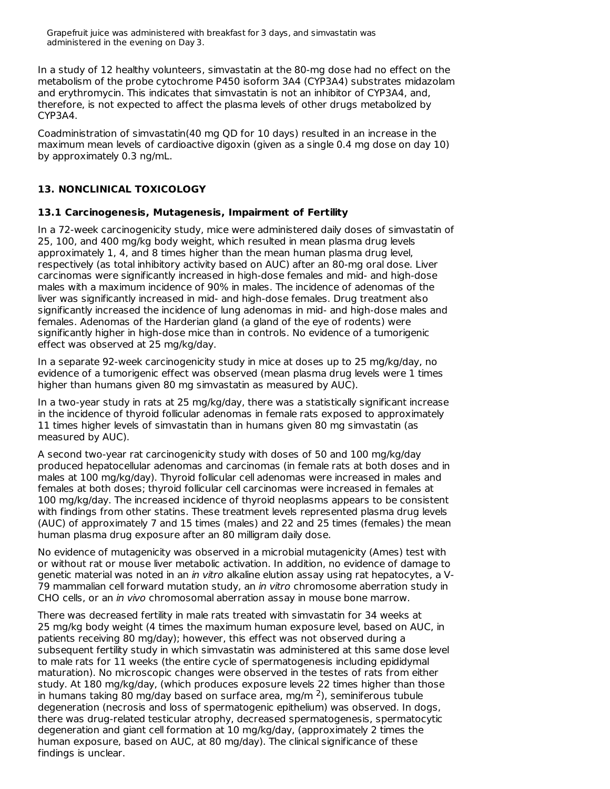Grapefruit juice was administered with breakfast for 3 days, and simvastatin was administered in the evening on Day 3.

In a study of 12 healthy volunteers, simvastatin at the 80-mg dose had no effect on the metabolism of the probe cytochrome P450 isoform 3A4 (CYP3A4) substrates midazolam and erythromycin. This indicates that simvastatin is not an inhibitor of CYP3A4, and, therefore, is not expected to affect the plasma levels of other drugs metabolized by CYP3A4.

Coadministration of simvastatin(40 mg QD for 10 days) resulted in an increase in the maximum mean levels of cardioactive digoxin (given as a single 0.4 mg dose on day 10) by approximately 0.3 ng/mL.

# **13. NONCLINICAL TOXICOLOGY**

### **13.1 Carcinogenesis, Mutagenesis, Impairment of Fertility**

In a 72-week carcinogenicity study, mice were administered daily doses of simvastatin of 25, 100, and 400 mg/kg body weight, which resulted in mean plasma drug levels approximately 1, 4, and 8 times higher than the mean human plasma drug level, respectively (as total inhibitory activity based on AUC) after an 80-mg oral dose. Liver carcinomas were significantly increased in high-dose females and mid- and high-dose males with a maximum incidence of 90% in males. The incidence of adenomas of the liver was significantly increased in mid- and high-dose females. Drug treatment also significantly increased the incidence of lung adenomas in mid- and high-dose males and females. Adenomas of the Harderian gland (a gland of the eye of rodents) were significantly higher in high-dose mice than in controls. No evidence of a tumorigenic effect was observed at 25 mg/kg/day.

In a separate 92-week carcinogenicity study in mice at doses up to 25 mg/kg/day, no evidence of a tumorigenic effect was observed (mean plasma drug levels were 1 times higher than humans given 80 mg simvastatin as measured by AUC).

In a two-year study in rats at 25 mg/kg/day, there was a statistically significant increase in the incidence of thyroid follicular adenomas in female rats exposed to approximately 11 times higher levels of simvastatin than in humans given 80 mg simvastatin (as measured by AUC).

A second two-year rat carcinogenicity study with doses of 50 and 100 mg/kg/day produced hepatocellular adenomas and carcinomas (in female rats at both doses and in males at 100 mg/kg/day). Thyroid follicular cell adenomas were increased in males and females at both doses; thyroid follicular cell carcinomas were increased in females at 100 mg/kg/day. The increased incidence of thyroid neoplasms appears to be consistent with findings from other statins. These treatment levels represented plasma drug levels (AUC) of approximately 7 and 15 times (males) and 22 and 25 times (females) the mean human plasma drug exposure after an 80 milligram daily dose.

No evidence of mutagenicity was observed in a microbial mutagenicity (Ames) test with or without rat or mouse liver metabolic activation. In addition, no evidence of damage to genetic material was noted in an in vitro alkaline elution assay using rat hepatocytes, a V-79 mammalian cell forward mutation study, an in vitro chromosome aberration study in CHO cells, or an in vivo chromosomal aberration assay in mouse bone marrow.

There was decreased fertility in male rats treated with simvastatin for 34 weeks at 25 mg/kg body weight (4 times the maximum human exposure level, based on AUC, in patients receiving 80 mg/day); however, this effect was not observed during a subsequent fertility study in which simvastatin was administered at this same dose level to male rats for 11 weeks (the entire cycle of spermatogenesis including epididymal maturation). No microscopic changes were observed in the testes of rats from either study. At 180 mg/kg/day, (which produces exposure levels 22 times higher than those in humans taking 80 mg/day based on surface area, mg/m  $2$ ), seminiferous tubule degeneration (necrosis and loss of spermatogenic epithelium) was observed. In dogs, there was drug-related testicular atrophy, decreased spermatogenesis, spermatocytic degeneration and giant cell formation at 10 mg/kg/day, (approximately 2 times the human exposure, based on AUC, at 80 mg/day). The clinical significance of these findings is unclear.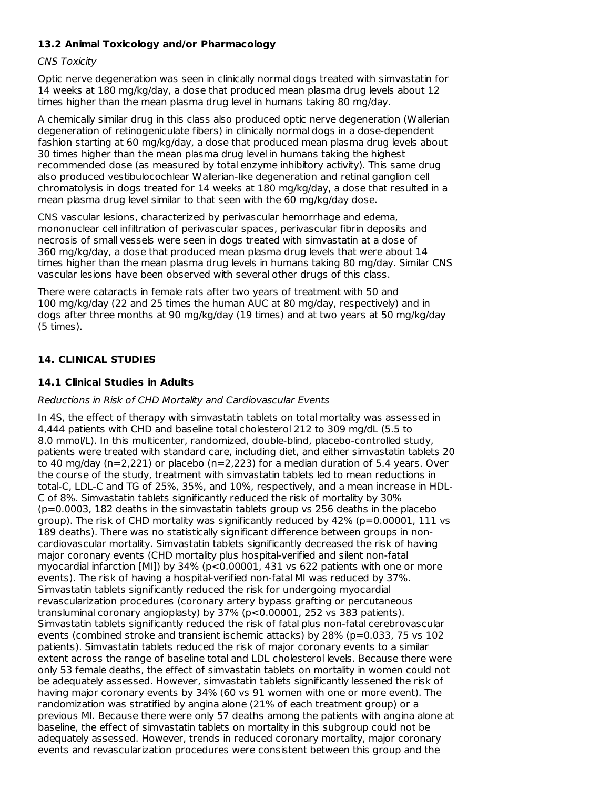# **13.2 Animal Toxicology and/or Pharmacology**

# CNS Toxicity

Optic nerve degeneration was seen in clinically normal dogs treated with simvastatin for 14 weeks at 180 mg/kg/day, a dose that produced mean plasma drug levels about 12 times higher than the mean plasma drug level in humans taking 80 mg/day.

A chemically similar drug in this class also produced optic nerve degeneration (Wallerian degeneration of retinogeniculate fibers) in clinically normal dogs in a dose-dependent fashion starting at 60 mg/kg/day, a dose that produced mean plasma drug levels about 30 times higher than the mean plasma drug level in humans taking the highest recommended dose (as measured by total enzyme inhibitory activity). This same drug also produced vestibulocochlear Wallerian-like degeneration and retinal ganglion cell chromatolysis in dogs treated for 14 weeks at 180 mg/kg/day, a dose that resulted in a mean plasma drug level similar to that seen with the 60 mg/kg/day dose.

CNS vascular lesions, characterized by perivascular hemorrhage and edema, mononuclear cell infiltration of perivascular spaces, perivascular fibrin deposits and necrosis of small vessels were seen in dogs treated with simvastatin at a dose of 360 mg/kg/day, a dose that produced mean plasma drug levels that were about 14 times higher than the mean plasma drug levels in humans taking 80 mg/day. Similar CNS vascular lesions have been observed with several other drugs of this class.

There were cataracts in female rats after two years of treatment with 50 and 100 mg/kg/day (22 and 25 times the human AUC at 80 mg/day, respectively) and in dogs after three months at 90 mg/kg/day (19 times) and at two years at 50 mg/kg/day (5 times).

# **14. CLINICAL STUDIES**

# **14.1 Clinical Studies in Adults**

# Reductions in Risk of CHD Mortality and Cardiovascular Events

In 4S, the effect of therapy with simvastatin tablets on total mortality was assessed in 4,444 patients with CHD and baseline total cholesterol 212 to 309 mg/dL (5.5 to 8.0 mmol/L). In this multicenter, randomized, double-blind, placebo-controlled study, patients were treated with standard care, including diet, and either simvastatin tablets 20 to 40 mg/day ( $n=2,221$ ) or placebo ( $n=2,223$ ) for a median duration of 5.4 years. Over the course of the study, treatment with simvastatin tablets led to mean reductions in total-C, LDL-C and TG of 25%, 35%, and 10%, respectively, and a mean increase in HDL-C of 8%. Simvastatin tablets significantly reduced the risk of mortality by 30% (p=0.0003, 182 deaths in the simvastatin tablets group vs 256 deaths in the placebo group). The risk of CHD mortality was significantly reduced by  $42\%$  (p=0.00001, 111 vs 189 deaths). There was no statistically significant difference between groups in noncardiovascular mortality. Simvastatin tablets significantly decreased the risk of having major coronary events (CHD mortality plus hospital-verified and silent non-fatal myocardial infarction [MI]) by 34% (p<0.00001, 431 vs 622 patients with one or more events). The risk of having a hospital-verified non-fatal MI was reduced by 37%. Simvastatin tablets significantly reduced the risk for undergoing myocardial revascularization procedures (coronary artery bypass grafting or percutaneous transluminal coronary angioplasty) by 37% (p<0.00001, 252 vs 383 patients). Simvastatin tablets significantly reduced the risk of fatal plus non-fatal cerebrovascular events (combined stroke and transient ischemic attacks) by 28% (p=0.033, 75 vs 102 patients). Simvastatin tablets reduced the risk of major coronary events to a similar extent across the range of baseline total and LDL cholesterol levels. Because there were only 53 female deaths, the effect of simvastatin tablets on mortality in women could not be adequately assessed. However, simvastatin tablets significantly lessened the risk of having major coronary events by 34% (60 vs 91 women with one or more event). The randomization was stratified by angina alone (21% of each treatment group) or a previous MI. Because there were only 57 deaths among the patients with angina alone at baseline, the effect of simvastatin tablets on mortality in this subgroup could not be adequately assessed. However, trends in reduced coronary mortality, major coronary events and revascularization procedures were consistent between this group and the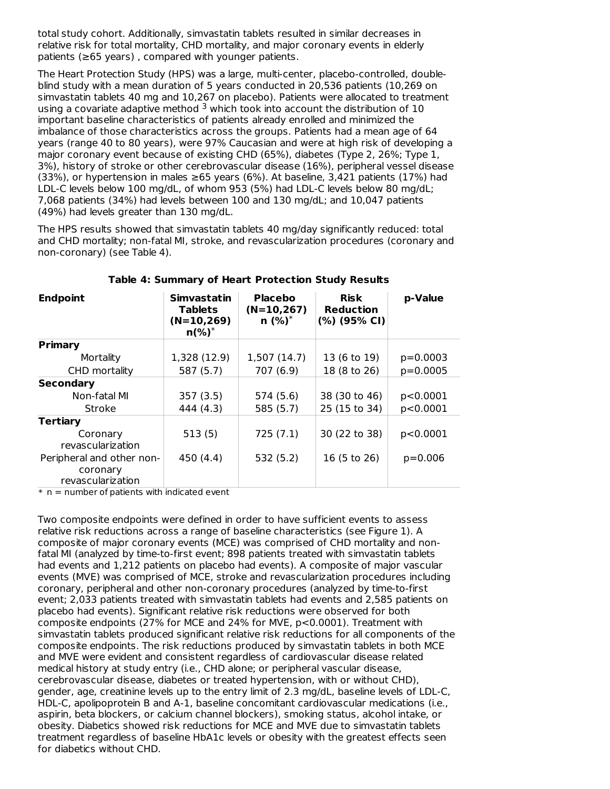total study cohort. Additionally, simvastatin tablets resulted in similar decreases in relative risk for total mortality, CHD mortality, and major coronary events in elderly patients (≥65 years) , compared with younger patients.

The Heart Protection Study (HPS) was a large, multi-center, placebo-controlled, doubleblind study with a mean duration of 5 years conducted in 20,536 patients (10,269 on simvastatin tablets 40 mg and 10,267 on placebo). Patients were allocated to treatment using a covariate adaptive method  $3$  which took into account the distribution of 10 important baseline characteristics of patients already enrolled and minimized the imbalance of those characteristics across the groups. Patients had a mean age of 64 years (range 40 to 80 years), were 97% Caucasian and were at high risk of developing a major coronary event because of existing CHD (65%), diabetes (Type 2, 26%; Type 1, 3%), history of stroke or other cerebrovascular disease (16%), peripheral vessel disease (33%), or hypertension in males  $\geq 65$  years (6%). At baseline, 3,421 patients (17%) had LDL-C levels below 100 mg/dL, of whom 953 (5%) had LDL-C levels below 80 mg/dL; 7,068 patients (34%) had levels between 100 and 130 mg/dL; and 10,047 patients (49%) had levels greater than 130 mg/dL.

The HPS results showed that simvastatin tablets 40 mg/day significantly reduced: total and CHD mortality; non-fatal MI, stroke, and revascularization procedures (coronary and non-coronary) (see Table 4).

| p-Value    |
|------------|
|            |
| $p=0.0003$ |
| $p=0.0005$ |
|            |
| p<0.0001   |
| p<0.0001   |
|            |
| p<0.0001   |
| $p=0.006$  |
|            |

#### **Table 4: Summary of Heart Protection Study Results**

 $*$   $\,$  n  $=$  number of patients with indicated event

Two composite endpoints were defined in order to have sufficient events to assess relative risk reductions across a range of baseline characteristics (see Figure 1). A composite of major coronary events (MCE) was comprised of CHD mortality and nonfatal MI (analyzed by time-to-first event; 898 patients treated with simvastatin tablets had events and 1,212 patients on placebo had events). A composite of major vascular events (MVE) was comprised of MCE, stroke and revascularization procedures including coronary, peripheral and other non-coronary procedures (analyzed by time-to-first event; 2,033 patients treated with simvastatin tablets had events and 2,585 patients on placebo had events). Significant relative risk reductions were observed for both composite endpoints (27% for MCE and 24% for MVE, p<0.0001). Treatment with simvastatin tablets produced significant relative risk reductions for all components of the composite endpoints. The risk reductions produced by simvastatin tablets in both MCE and MVE were evident and consistent regardless of cardiovascular disease related medical history at study entry (i.e., CHD alone; or peripheral vascular disease, cerebrovascular disease, diabetes or treated hypertension, with or without CHD), gender, age, creatinine levels up to the entry limit of 2.3 mg/dL, baseline levels of LDL-C, HDL-C, apolipoprotein B and A-1, baseline concomitant cardiovascular medications (i.e., aspirin, beta blockers, or calcium channel blockers), smoking status, alcohol intake, or obesity. Diabetics showed risk reductions for MCE and MVE due to simvastatin tablets treatment regardless of baseline HbA1c levels or obesity with the greatest effects seen for diabetics without CHD.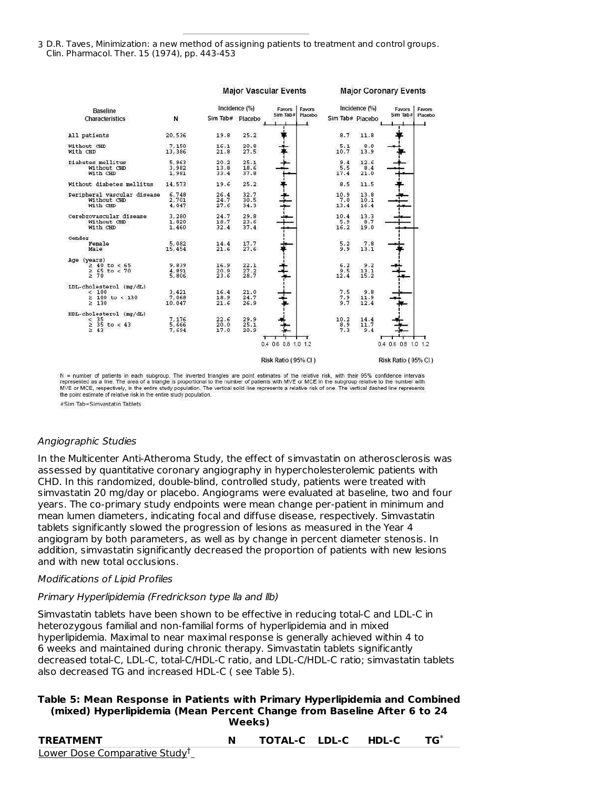3 D.R. Taves, Minimization: a new method of assigning patients to treatment and control groups. Clin. Pharmacol. Ther. 15 (1974), pp. 443-453

|                                                                     |                              | <b>Major Vascular Events</b> |                             |                     |                             | <b>Major Coronary Events</b> |                     |         |
|---------------------------------------------------------------------|------------------------------|------------------------------|-----------------------------|---------------------|-----------------------------|------------------------------|---------------------|---------|
| <b>Baseline</b>                                                     |                              |                              | Incidence (%)               | Favors<br>Favors    |                             | Incidence $(\% )$            | Favors              | Favors  |
| Characteristics                                                     | N                            | Sim Tab# Placebo             |                             | Sim Tab#            | Placebo<br>Sim Tab# Placebo |                              | Sim Tab#            | Placebo |
| All patients                                                        | 20,536                       | 19.8                         | 25.2                        |                     | 8.7                         | 11.8                         |                     |         |
| Without CHD<br>With CHD                                             | 7,150<br>13,386              | 16.1<br>21.8                 | 20.8<br>27.5                |                     | 5.1<br>10.7                 | 8.0<br>13.9                  |                     |         |
| Diabetes mellitus<br>Without CHD<br>With CHD                        | 5,963<br>3,982<br>1,981      | 20.2<br>13.8<br>33.4         | 25.1<br>18.6<br>37.8        |                     | 9.4<br>5.5<br>17.4          | 12.6<br>8.4<br>21.0          |                     |         |
| Without diabetes mellitus                                           | 14,573                       | 19.6                         | 25.2                        |                     | 8.5                         | 11.5                         |                     |         |
| Peripheral vascular disease<br>Without CHD<br>With CHD              | 6,748<br>2,701<br>4,047      | 26.4<br>24.7<br>27.6         | 32.7<br>30.5<br>34.3        |                     | 10.9<br>7.0<br>13.4         | 13.8<br>10.1<br>16.4         |                     |         |
| Cerebrovascular disease<br>Without CHD<br>With CHD                  | 3.280<br>1,820<br>1,460      | 24.7<br>18.7<br>32.4         | 29.8<br>23.6<br>37.4        |                     | 10.4<br>5.9<br>16.2         | 13.3<br>8.7<br>19.0          |                     |         |
| Gender<br>Female<br>Male                                            | 5,082<br>15,454              | 14.4<br>21.6                 | 17.7<br>27.6                |                     | 5.2<br>9.9                  | 7.8<br>13.1                  |                     |         |
| Age (years)<br>$\geq 40$ to < 65<br>$\geq 65$ to < 70               | 9,839<br>$\frac{4}{5}$ , 891 | 16.9<br>$20.9$<br>$23.6$     | 22.1<br>$\frac{27.2}{28.7}$ |                     | 6.2<br>$3.5$<br>12.4        | 9.2<br>13.1<br>15.2          |                     |         |
| LDL-cholesterol (mg/dL)<br>< 100<br>$\geq 100$ to < 130<br>≥<br>130 | 3.421<br>7,068<br>10,047     | 16.4<br>18.9<br>21.6         | 21.0<br>24.7<br>26.9        |                     | 7.5<br>7.9<br>9.7           | 9.8<br>11.9<br>12.4          |                     |         |
| HDL-cholesterol (mg/dL)<br>< 35<br>$\geq$ 35 to < 43<br>≥ 43        | 7.176<br>5,666<br>7,694      | 22.6<br>20.0<br>17.0         | 29.9<br>25.1<br>20.9        |                     | 10.2<br>8.9<br>7.3          | 14.4<br>11.7<br>9.4          |                     |         |
|                                                                     |                              |                              |                             | 0.4 0.6 0.8 1.0 1.2 |                             |                              | 0.4 0.6 0.8 1.0 1.2 |         |
|                                                                     |                              |                              |                             | Risk Ratio (95% CL) |                             |                              | Risk Ratio (95% CI) |         |

N = number of patients in each subgroup. The inverted triangles are point estimates of the relative risk, with their 95% confidence intervals<br>represented as a line. The area of a triangle is proportional to the number of p MVE or MCE, respectively, in the entire study population. The vertical solid line represents a relative risk of one. The vertical dashed line represents the point estimate of relative risk in the entire study population.

#Sim Tab=Simvastatin Tablets

#### Angiographic Studies

In the Multicenter Anti-Atheroma Study, the effect of simvastatin on atherosclerosis was assessed by quantitative coronary angiography in hypercholesterolemic patients with CHD. In this randomized, double-blind, controlled study, patients were treated with simvastatin 20 mg/day or placebo. Angiograms were evaluated at baseline, two and four years. The co-primary study endpoints were mean change per-patient in minimum and mean lumen diameters, indicating focal and diffuse disease, respectively. Simvastatin tablets significantly slowed the progression of lesions as measured in the Year 4 angiogram by both parameters, as well as by change in percent diameter stenosis. In addition, simvastatin significantly decreased the proportion of patients with new lesions and with new total occlusions.

#### Modifications of Lipid Profiles

#### Primary Hyperlipidemia (Fredrickson type lla and llb)

Simvastatin tablets have been shown to be effective in reducing total-C and LDL-C in heterozygous familial and non-familial forms of hyperlipidemia and in mixed hyperlipidemia. Maximal to near maximal response is generally achieved within 4 to 6 weeks and maintained during chronic therapy. Simvastatin tablets significantly decreased total-C, LDL-C, total-C/HDL-C ratio, and LDL-C/HDL-C ratio; simvastatin tablets also decreased TG and increased HDL-C ( see Table 5).

#### **Table 5: Mean Response in Patients with Primary Hyperlipidemia and Combined (mixed) Hyperlipidemia (Mean Percent Change from Baseline After 6 to 24 Weeks)**

| <b>TREATMENT</b>                          | TOTAL-C LDL-C HDL-C |  |  |
|-------------------------------------------|---------------------|--|--|
| Lower Dose Comparative Study <sup>T</sup> |                     |  |  |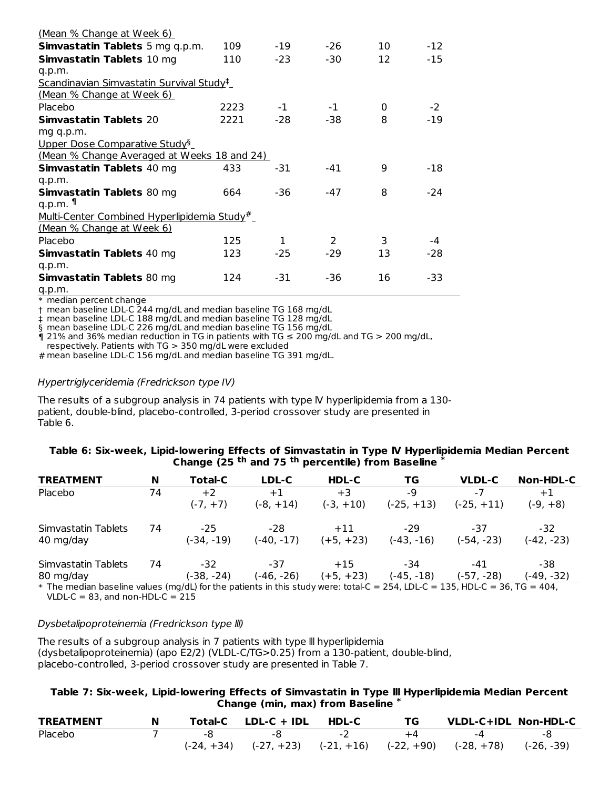| <u>(Mean % Change at Week 6)</u>                           |      |              |                |    |       |
|------------------------------------------------------------|------|--------------|----------------|----|-------|
| <b>Simvastatin Tablets</b> 5 mg q.p.m.                     | 109  | -19          | $-26$          | 10 | $-12$ |
| <b>Simvastatin Tablets 10 mg</b>                           | 110  | $-23$        | $-30$          | 12 | -15   |
| q.p.m.                                                     |      |              |                |    |       |
| <u>Scandinavian Simvastatin Survival Study<sup>‡</sup></u> |      |              |                |    |       |
| <u>(Mean % Change at Week 6)</u>                           |      |              |                |    |       |
| Placebo                                                    | 2223 | $-1$         | $-1$           | 0  | $-2$  |
| <b>Simvastatin Tablets 20</b>                              | 2221 | -28          | $-38$          | 8  | $-19$ |
| mg q.p.m.                                                  |      |              |                |    |       |
| Upper Dose Comparative Study <sup>§</sup>                  |      |              |                |    |       |
| (Mean % Change Averaged at Weeks 18 and 24)                |      |              |                |    |       |
| <b>Simvastatin Tablets 40 mg</b>                           | 433  | -31          | -41            | q  | -18   |
| q.p.m.                                                     |      |              |                |    |       |
| <b>Simvastatin Tablets 80 mg</b>                           | 664  | -36          | -47            | 8  | $-24$ |
| q.p.m. $\P$                                                |      |              |                |    |       |
| <u>Multi-Center Combined Hyperlipidemia Study#</u>         |      |              |                |    |       |
| <u>(Mean % Change at Week 6)</u>                           |      |              |                |    |       |
| Placebo                                                    | 125  | $\mathbf{1}$ | $\overline{2}$ | 3  | -4    |
| <b>Simvastatin Tablets 40 mg</b>                           | 123  | -25          | -29            | 13 | $-28$ |
| q.p.m.                                                     |      |              |                |    |       |
| <b>Simvastatin Tablets 80 mg</b>                           | 124  | -31          | -36            | 16 | -33   |
| q.p.m.                                                     |      |              |                |    |       |

\* median percent change

† mean baseline LDL-C 244 mg/dL and median baseline TG 168 mg/dL

‡ mean baseline LDL-C 188 mg/dL and median baseline TG 128 mg/dL

§ mean baseline LDL-C 226 mg/dL and median baseline TG 156 mg/dL

 $\eta$  21% and 36% median reduction in TG in patients with TG  $\leq$  200 mg/dL and TG  $>$  200 mg/dL,

respectively. Patients with TG > 350 mg/dL were excluded

# mean baseline LDL-C 156 mg/dL and median baseline TG 391 mg/dL.

#### Hypertriglyceridemia (Fredrickson type IV)

The results of a subgroup analysis in 74 patients with type IV hyperlipidemia from a 130patient, double-blind, placebo-controlled, 3-period crossover study are presented in Table 6.

#### **Table 6: Six-week, Lipid-lowering Effects of Simvastatin in Type lV Hyperlipidemia Median Percent Change (25 and 75 percentile) from Baseline th th \***

| <b>TREATMENT</b>    | N                                                                                                                           | Total-C      | LDL-C        | HDL-C       | TG.          | <b>VLDL-C</b> | Non-HDL-C    |  |  |
|---------------------|-----------------------------------------------------------------------------------------------------------------------------|--------------|--------------|-------------|--------------|---------------|--------------|--|--|
| Placebo             | 74                                                                                                                          | $+2$         | $+1$         | $+3$        | -9           | $-7$          | $+1$         |  |  |
|                     |                                                                                                                             | $(-7, +7)$   | $(-8, +14)$  | $(-3, +10)$ | $(-25, +13)$ | $(-25, +11)$  | $(-9, +8)$   |  |  |
| Simvastatin Tablets | 74                                                                                                                          | $-25$        | -28          | $+11$       | $-29$        | -37           | $-32$        |  |  |
| 40 mg/day           |                                                                                                                             | $(-34, -19)$ | $(-40, -17)$ | $(+5, +23)$ | $(-43, -16)$ | $(-54, -23)$  | $(-42, -23)$ |  |  |
| Simvastatin Tablets | 74                                                                                                                          | $-32$        | -37          | $+15$       | -34          | -41           | -38          |  |  |
| 80 mg/day           |                                                                                                                             | (-38. -24)   | $(-46, -26)$ | $(+5, +23)$ | (-45, -18)   | $(-57, -28)$  | $(-49, -32)$ |  |  |
|                     | * The median baseline values (mg/dL) for the patients in this study were: total-C = 254, LDL-C = 135, HDL-C = 36, TG = 404, |              |              |             |              |               |              |  |  |

 $VLDL-C = 83$ , and non-HDL- $C = 215$ 

#### Dysbetalipoproteinemia (Fredrickson type lll)

The results of a subgroup analysis in 7 patients with type lll hyperlipidemia (dysbetalipoproteinemia) (apo E2/2) (VLDL-C/TG>0.25) from a 130-patient, double-blind, placebo-controlled, 3-period crossover study are presented in Table 7.

#### **Table 7: Six-week, Lipid-lowering Effects of Simvastatin in Type lll Hyperlipidemia Median Percent Change (min, max) from Baseline \***

| <b>TREATMENT</b> | N |              | Total-C LDL-C + IDL                    | HDL-C | TG   |                           | VLDL-C+IDL Non-HDL-C |
|------------------|---|--------------|----------------------------------------|-------|------|---------------------------|----------------------|
| Placebo          |   |              |                                        |       | $+4$ |                           | -8                   |
|                  |   | $(-24, +34)$ | $(-27, +23)$ $(-21, +16)$ $(-22, +90)$ |       |      | $(-28, +78)$ $(-26, -39)$ |                      |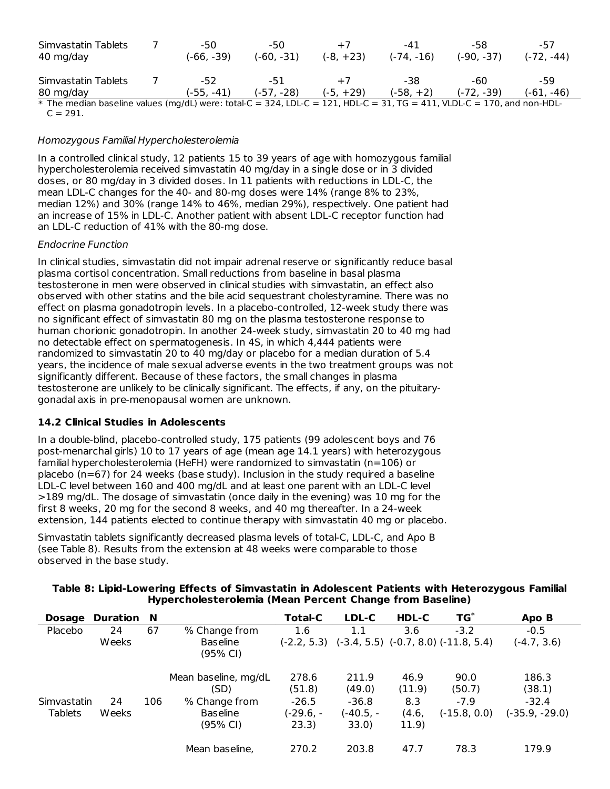| Simvastatin Tablets<br>40 mg/day                                                                                        |  | -50<br>(-66. -39) | -50<br>$(-60, -31)$ | $+7$<br>$(-8, +23)$ | -41<br>$(-74, -16)$ | -58<br>$(-90, -37)$ | -57<br>$(-72, -44)$ |
|-------------------------------------------------------------------------------------------------------------------------|--|-------------------|---------------------|---------------------|---------------------|---------------------|---------------------|
| Simvastatin Tablets                                                                                                     |  | -52               | -51                 | $+7$                | -38                 | -60                 | -59                 |
| 80 mg/day                                                                                                               |  | $(-55, -41)$      | $(-57, -28)$        | $(-5, +29)$         | $(-58, +2)$         | $(-72, -39)$        | $(-61, -46)$        |
| * The median baseline values (mg/dL) were: total-C = 324, LDL-C = 121, HDL-C = 31, TG = 411, VLDL-C = 170, and non-HDL- |  |                   |                     |                     |                     |                     |                     |

 $C = 291.$ 

### Homozygous Familial Hypercholesterolemia

In a controlled clinical study, 12 patients 15 to 39 years of age with homozygous familial hypercholesterolemia received simvastatin 40 mg/day in a single dose or in 3 divided doses, or 80 mg/day in 3 divided doses. In 11 patients with reductions in LDL-C, the mean LDL-C changes for the 40- and 80-mg doses were 14% (range 8% to 23%, median 12%) and 30% (range 14% to 46%, median 29%), respectively. One patient had an increase of 15% in LDL-C. Another patient with absent LDL-C receptor function had an LDL-C reduction of 41% with the 80-mg dose.

### Endocrine Function

In clinical studies, simvastatin did not impair adrenal reserve or significantly reduce basal plasma cortisol concentration. Small reductions from baseline in basal plasma testosterone in men were observed in clinical studies with simvastatin, an effect also observed with other statins and the bile acid sequestrant cholestyramine. There was no effect on plasma gonadotropin levels. In a placebo-controlled, 12-week study there was no significant effect of simvastatin 80 mg on the plasma testosterone response to human chorionic gonadotropin. In another 24-week study, simvastatin 20 to 40 mg had no detectable effect on spermatogenesis. In 4S, in which 4,444 patients were randomized to simvastatin 20 to 40 mg/day or placebo for a median duration of 5.4 years, the incidence of male sexual adverse events in the two treatment groups was not significantly different. Because of these factors, the small changes in plasma testosterone are unlikely to be clinically significant. The effects, if any, on the pituitarygonadal axis in pre-menopausal women are unknown.

# **14.2 Clinical Studies in Adolescents**

In a double-blind, placebo-controlled study, 175 patients (99 adolescent boys and 76 post-menarchal girls) 10 to 17 years of age (mean age 14.1 years) with heterozygous familial hypercholesterolemia (HeFH) were randomized to simvastatin (n=106) or placebo (n=67) for 24 weeks (base study). Inclusion in the study required a baseline LDL-C level between 160 and 400 mg/dL and at least one parent with an LDL-C level >189 mg/dL. The dosage of simvastatin (once daily in the evening) was 10 mg for the first 8 weeks, 20 mg for the second 8 weeks, and 40 mg thereafter. In a 24-week extension, 144 patients elected to continue therapy with simvastatin 40 mg or placebo.

Simvastatin tablets significantly decreased plasma levels of total-C, LDL-C, and Apo B (see Table 8). Results from the extension at 48 weeks were comparable to those observed in the base study.

| <b>Dosage</b>  | Duration N |     |                             | <b>Total-C</b> | LDL-C     | HDL-C  | $TG^*$                                                   | Apo B            |
|----------------|------------|-----|-----------------------------|----------------|-----------|--------|----------------------------------------------------------|------------------|
| Placebo        | 24         | 67  | % Change from               | 1.6            | $1.1\,$   | 3.6    | $-3.2$                                                   | $-0.5$           |
|                | Weeks      |     | <b>Baseline</b><br>(95% CI) |                |           |        | $(-2.2, 5.3)$ $(-3.4, 5.5)$ $(-0.7, 8.0)$ $(-11.8, 5.4)$ | $(-4.7, 3.6)$    |
|                |            |     | Mean baseline, mg/dL        | 278.6          | 211.9     | 46.9   | 90.0                                                     | 186.3            |
|                |            |     | (SD)                        | (51.8)         | (49.0)    | (11.9) | (50.7)                                                   | (38.1)           |
| Simvastatin    | 24         | 106 | % Change from               | $-26.5$        | $-36.8$   | 8.3    | $-7.9$                                                   | $-32.4$          |
| <b>Tablets</b> | Weeks      |     | <b>Baseline</b>             | (-29.6, -      | (-40.5, - | (4.6,  | $(-15.8, 0.0)$                                           | $(-35.9, -29.0)$ |
|                |            |     | (95% CI)                    | 23.3)          | 33.0)     | 11.9)  |                                                          |                  |
|                |            |     | Mean baseline,              | 270.2          | 203.8     | 47.7   | 78.3                                                     | 179.9            |

# **Table 8: Lipid-Lowering Effects of Simvastatin in Adolescent Patients with Heterozygous Familial Hypercholesterolemia (Mean Percent Change from Baseline)**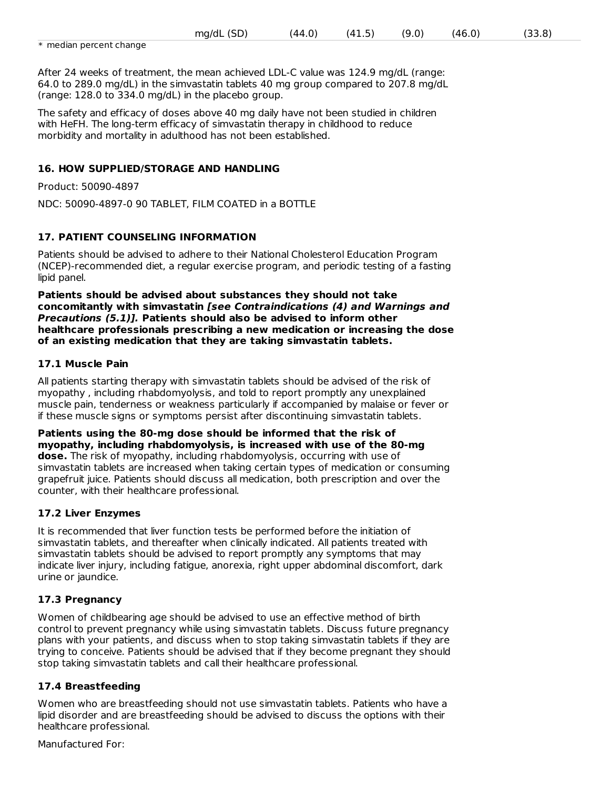|                         | mg/dL<br>שכ | (44.0) | $\mathbf{u}$<br>. .<br>. | 0.′).<br>יש | ،4۴ | . .<br>$\overline{\phantom{a}}$<br>. . |
|-------------------------|-------------|--------|--------------------------|-------------|-----|----------------------------------------|
| * median percent change |             |        |                          |             |     |                                        |

After 24 weeks of treatment, the mean achieved LDL-C value was 124.9 mg/dL (range: 64.0 to 289.0 mg/dL) in the simvastatin tablets 40 mg group compared to 207.8 mg/dL (range: 128.0 to 334.0 mg/dL) in the placebo group.

The safety and efficacy of doses above 40 mg daily have not been studied in children with HeFH. The long-term efficacy of simvastatin therapy in childhood to reduce morbidity and mortality in adulthood has not been established.

# **16. HOW SUPPLIED/STORAGE AND HANDLING**

Product: 50090-4897

NDC: 50090-4897-0 90 TABLET, FILM COATED in a BOTTLE

# **17. PATIENT COUNSELING INFORMATION**

Patients should be advised to adhere to their National Cholesterol Education Program (NCEP)-recommended diet, a regular exercise program, and periodic testing of a fasting lipid panel.

**Patients should be advised about substances they should not take concomitantly with simvastatin [see Contraindications (4) and Warnings and Precautions (5.1)]. Patients should also be advised to inform other healthcare professionals prescribing a new medication or increasing the dose of an existing medication that they are taking simvastatin tablets.**

# **17.1 Muscle Pain**

All patients starting therapy with simvastatin tablets should be advised of the risk of myopathy , including rhabdomyolysis, and told to report promptly any unexplained muscle pain, tenderness or weakness particularly if accompanied by malaise or fever or if these muscle signs or symptoms persist after discontinuing simvastatin tablets.

**Patients using the 80-mg dose should be informed that the risk of myopathy, including rhabdomyolysis, is increased with use of the 80-mg dose.** The risk of myopathy, including rhabdomyolysis, occurring with use of simvastatin tablets are increased when taking certain types of medication or consuming grapefruit juice. Patients should discuss all medication, both prescription and over the counter, with their healthcare professional.

# **17.2 Liver Enzymes**

It is recommended that liver function tests be performed before the initiation of simvastatin tablets, and thereafter when clinically indicated. All patients treated with simvastatin tablets should be advised to report promptly any symptoms that may indicate liver injury, including fatigue, anorexia, right upper abdominal discomfort, dark urine or jaundice.

# **17.3 Pregnancy**

Women of childbearing age should be advised to use an effective method of birth control to prevent pregnancy while using simvastatin tablets. Discuss future pregnancy plans with your patients, and discuss when to stop taking simvastatin tablets if they are trying to conceive. Patients should be advised that if they become pregnant they should stop taking simvastatin tablets and call their healthcare professional.

# **17.4 Breastfeeding**

Women who are breastfeeding should not use simvastatin tablets. Patients who have a lipid disorder and are breastfeeding should be advised to discuss the options with their healthcare professional.

Manufactured For: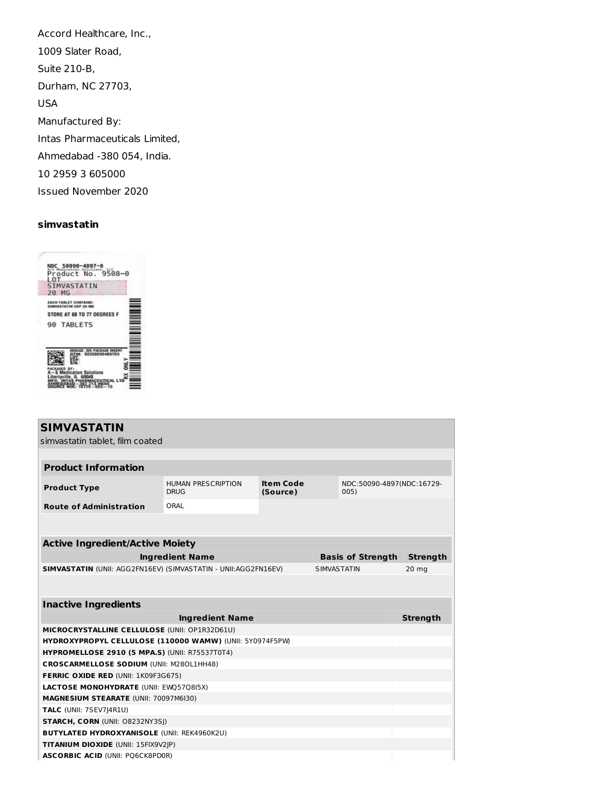Accord Healthcare, Inc., 1009 Slater Road, Suite 210-B, Durham, NC 27703, USA Manufactured By: Intas Pharmaceuticals Limited, Ahmedabad -380 054, India. 10 2959 3 605000 Issued November 2020

# **simvastatin**



| <b>SIMVASTATIN</b>                                                    |                                          |                                      |                    |                          |                           |  |  |  |
|-----------------------------------------------------------------------|------------------------------------------|--------------------------------------|--------------------|--------------------------|---------------------------|--|--|--|
| simvastatin tablet. film coated                                       |                                          |                                      |                    |                          |                           |  |  |  |
|                                                                       |                                          |                                      |                    |                          |                           |  |  |  |
| <b>Product Information</b>                                            |                                          |                                      |                    |                          |                           |  |  |  |
| <b>Product Type</b>                                                   | <b>HUMAN PRESCRIPTION</b><br><b>DRUG</b> | <b>Item Code</b><br>(Source)<br>005) |                    |                          | NDC:50090-4897(NDC:16729- |  |  |  |
| <b>Route of Administration</b>                                        | ORAL                                     |                                      |                    |                          |                           |  |  |  |
|                                                                       |                                          |                                      |                    |                          |                           |  |  |  |
|                                                                       |                                          |                                      |                    |                          |                           |  |  |  |
| <b>Active Ingredient/Active Moiety</b>                                |                                          |                                      |                    |                          |                           |  |  |  |
|                                                                       | <b>Ingredient Name</b>                   |                                      |                    | <b>Basis of Strength</b> | <b>Strength</b>           |  |  |  |
| <b>SIMVASTATIN (UNII: AGG2FN16EV) (SIMVASTATIN - UNII:AGG2FN16EV)</b> |                                          |                                      | <b>SIMVASTATIN</b> |                          | 20 <sub>mg</sub>          |  |  |  |
|                                                                       |                                          |                                      |                    |                          |                           |  |  |  |
|                                                                       |                                          |                                      |                    |                          |                           |  |  |  |
| <b>Inactive Ingredients</b>                                           |                                          |                                      |                    |                          |                           |  |  |  |
|                                                                       | <b>Ingredient Name</b>                   |                                      |                    |                          | <b>Strength</b>           |  |  |  |
| MICROCRYSTALLINE CELLULOSE (UNII: OP1R32D61U)                         |                                          |                                      |                    |                          |                           |  |  |  |
| HYDROXYPROPYL CELLULOSE (110000 WAMW) (UNII: 5Y0974F5PW)              |                                          |                                      |                    |                          |                           |  |  |  |
| <b>HYPROMELLOSE 2910 (5 MPA.S) (UNII: R75537T0T4)</b>                 |                                          |                                      |                    |                          |                           |  |  |  |
| <b>CROSCARMELLOSE SODIUM (UNII: M280L1HH48)</b>                       |                                          |                                      |                    |                          |                           |  |  |  |
| <b>FERRIC OXIDE RED (UNII: 1K09F3G675)</b>                            |                                          |                                      |                    |                          |                           |  |  |  |
| <b>LACTOSE MONOHYDRATE (UNII: EWQ57Q8I5X)</b>                         |                                          |                                      |                    |                          |                           |  |  |  |
|                                                                       | MAGNESIUM STEARATE (UNII: 70097M6I30)    |                                      |                    |                          |                           |  |  |  |
|                                                                       | TALC (UNII: 7SEV7J4R1U)                  |                                      |                    |                          |                           |  |  |  |
|                                                                       | <b>STARCH, CORN (UNII: O8232NY3SI)</b>   |                                      |                    |                          |                           |  |  |  |
| <b>BUTYLATED HYDROXYANISOLE (UNII: REK4960K2U)</b>                    |                                          |                                      |                    |                          |                           |  |  |  |
| TITANIUM DIOXIDE (UNII: 15FIX9V2JP)                                   |                                          |                                      |                    |                          |                           |  |  |  |
| <b>ASCORBIC ACID (UNII: PO6CK8PD0R)</b>                               |                                          |                                      |                    |                          |                           |  |  |  |